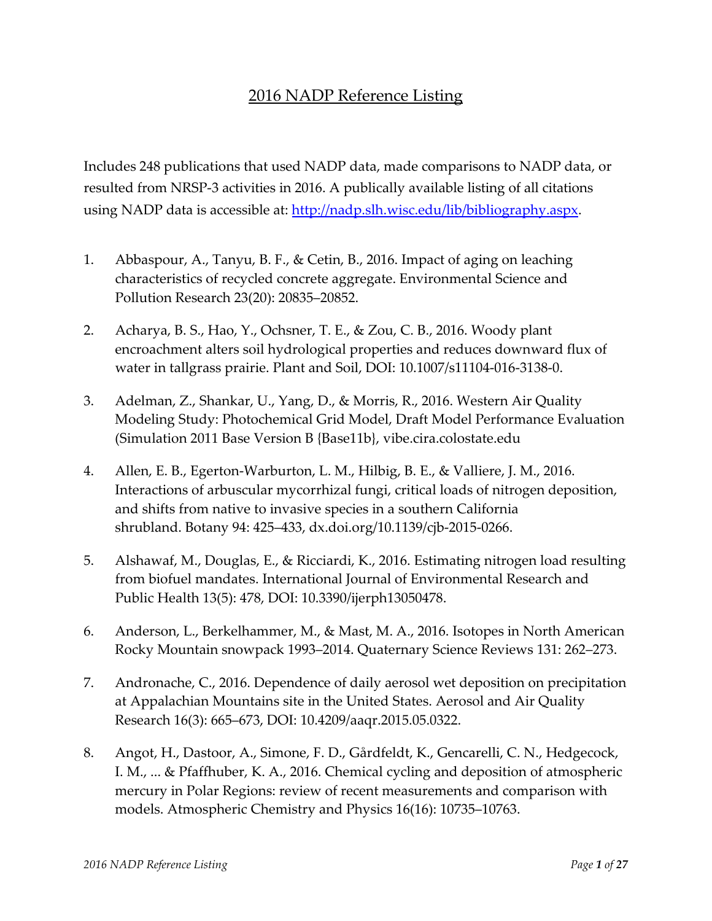## 2016 NADP Reference Listing

Includes 248 publications that used NADP data, made comparisons to NADP data, or resulted from NRSP-3 activities in 2016. A publically available listing of all citations using NADP data is accessible at: http://nadp.slh.wisc[.edu/lib/bibliography.aspx.](http://nadp.slh.wisc.edu/lib/bibliography.aspx) 

- 1. Abbaspour, A., Tanyu, B. F., & Cetin, B., 2016. Impact of aging on leaching characteristics of recycled concrete aggregate. Environmental Science and Pollution Research 23(20): 20835–20852.
- 2. Acharya, B. S., Hao, Y., Ochsner, T. E., & Zou, C. B., 2016. Woody plant encroachment alters soil hydrological properties and reduces downward flux of water in tallgrass prairie. Plant and Soil, DOI: 10.1007/s11104-016-3138-0.
- 3. Adelman, Z., Shankar, U., Yang, D., & Morris, R., 2016. Western Air Quality Modeling Study: Photochemical Grid Model, Draft Model Performance Evaluation (Simulation 2011 Base Version B {Base11b}, vibe.cira.colostate.edu
- 4. Allen, E. B., Egerton-Warburton, L. M., Hilbig, B. E., & Valliere, J. M., 2016. Interactions of arbuscular mycorrhizal fungi, critical loads of nitrogen deposition, and shifts from native to invasive species in a southern California shrubland. Botany 94: 425–433, dx.doi.org/10.1139/cjb-2015-0266.
- 5. Alshawaf, M., Douglas, E., & Ricciardi, K., 2016. Estimating nitrogen load resulting from biofuel mandates. International Journal of Environmental Research and Public Health 13(5): 478, DOI: 10.3390/ijerph13050478.
- 6. Anderson, L., Berkelhammer, M., & Mast, M. A., 2016. Isotopes in North American Rocky Mountain snowpack 1993–2014. Quaternary Science Reviews 131: 262–273.
- 7. Andronache, C., 2016. Dependence of daily aerosol wet deposition on precipitation at Appalachian Mountains site in the United States. Aerosol and Air Quality Research 16(3): 665–673, DOI: 10.4209/aaqr.2015.05.0322.
- 8. Angot, H., Dastoor, A., Simone, F. D., Gårdfeldt, K., Gencarelli, C. N., Hedgecock, I. M., ... & Pfaffhuber, K. A., 2016. Chemical cycling and deposition of atmospheric mercury in Polar Regions: review of recent measurements and comparison with models. Atmospheric Chemistry and Physics 16(16): 10735–10763.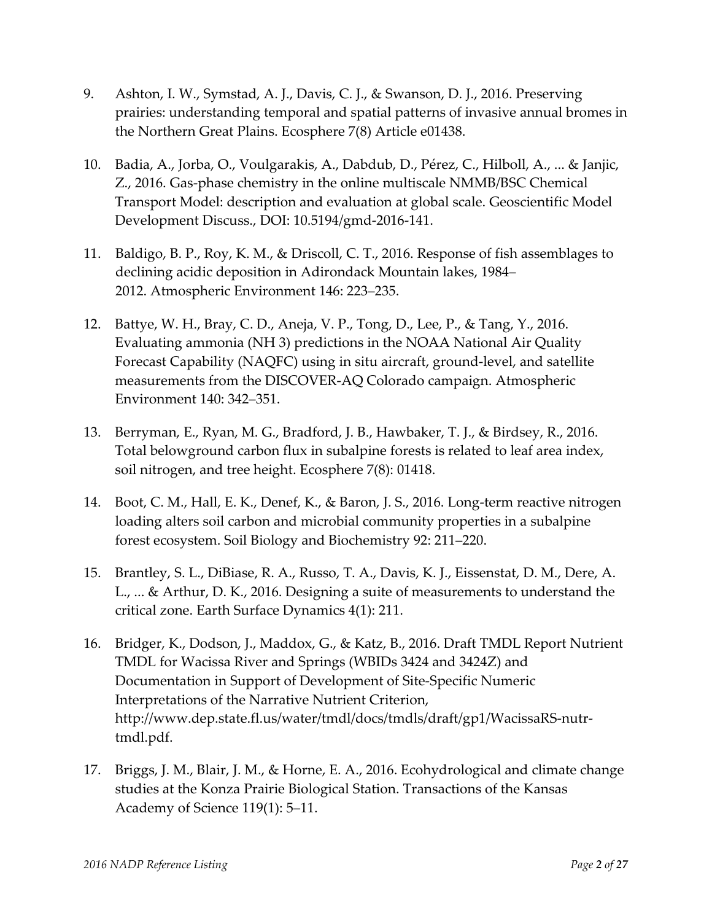- 9. Ashton, I. W., Symstad, A. J., Davis, C. J., & Swanson, D. J., 2016. Preserving prairies: understanding temporal and spatial patterns of invasive annual bromes in the Northern Great Plains. Ecosphere 7(8) Article e01438.
- 10. Badia, A., Jorba, O., Voulgarakis, A., Dabdub, D., Pérez, C., Hilboll, A., ... & Janjic, Z., 2016. Gas-phase chemistry in the online multiscale NMMB/BSC Chemical Transport Model: description and evaluation at global scale. Geoscientific Model Development Discuss., DOI: 10.5194/gmd-2016-141.
- 11. Baldigo, B. P., Roy, K. M., & Driscoll, C. T., 2016. Response of fish assemblages to declining acidic deposition in Adirondack Mountain lakes, 1984– 2012. Atmospheric Environment 146: 223–235.
- 12. Battye, W. H., Bray, C. D., Aneja, V. P., Tong, D., Lee, P., & Tang, Y., 2016. Evaluating ammonia (NH 3) predictions in the NOAA National Air Quality Forecast Capability (NAQFC) using in situ aircraft, ground-level, and satellite measurements from the DISCOVER-AQ Colorado campaign. Atmospheric Environment 140: 342–351.
- 13. Berryman, E., Ryan, M. G., Bradford, J. B., Hawbaker, T. J., & Birdsey, R., 2016. Total belowground carbon flux in subalpine forests is related to leaf area index, soil nitrogen, and tree height. Ecosphere 7(8): 01418.
- 14. Boot, C. M., Hall, E. K., Denef, K., & Baron, J. S., 2016. Long-term reactive nitrogen loading alters soil carbon and microbial community properties in a subalpine forest ecosystem. Soil Biology and Biochemistry 92: 211–220.
- 15. Brantley, S. L., DiBiase, R. A., Russo, T. A., Davis, K. J., Eissenstat, D. M., Dere, A. L., ... & Arthur, D. K., 2016. Designing a suite of measurements to understand the critical zone. Earth Surface Dynamics 4(1): 211.
- 16. Bridger, K., Dodson, J., Maddox, G., & Katz, B., 2016. Draft TMDL Report Nutrient TMDL for Wacissa River and Springs (WBIDs 3424 and 3424Z) and Documentation in Support of Development of Site-Specific Numeric Interpretations of the Narrative Nutrient Criterion, http://www.dep.state.fl.us/water/tmdl/docs/tmdls/draft/gp1/WacissaRS-nutrtmdl.pdf.
- 17. Briggs, J. M., Blair, J. M., & Horne, E. A., 2016. Ecohydrological and climate change studies at the Konza Prairie Biological Station. Transactions of the Kansas Academy of Science 119(1): 5–11.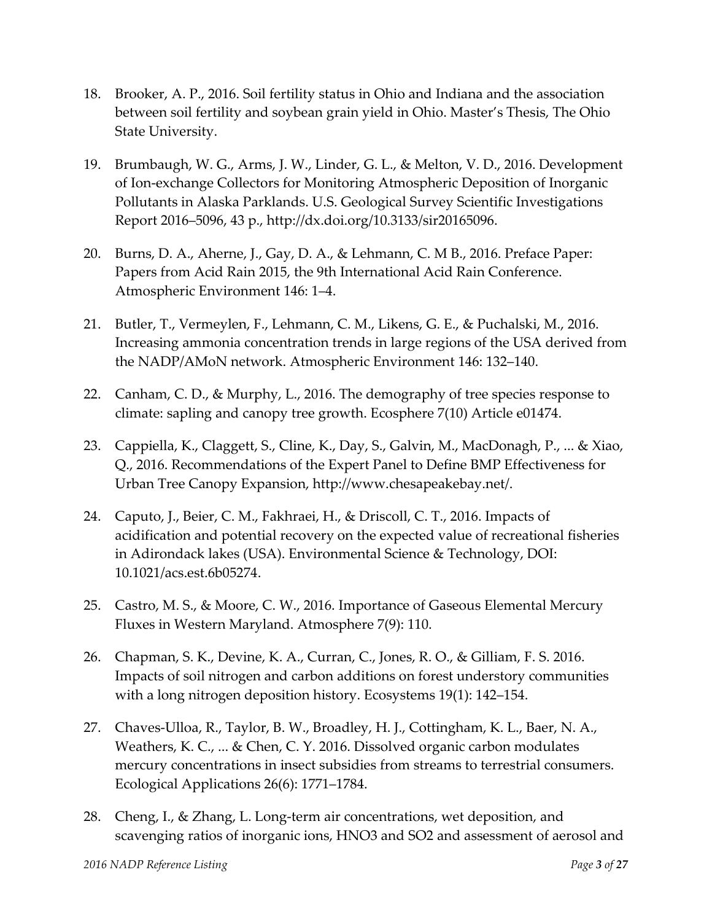- 18. Brooker, A. P., 2016. Soil fertility status in Ohio and Indiana and the association between soil fertility and soybean grain yield in Ohio. Master's Thesis, The Ohio State University.
- 19. Brumbaugh, W. G., Arms, J. W., Linder, G. L., & Melton, V. D., 2016. Development of Ion-exchange Collectors for Monitoring Atmospheric Deposition of Inorganic Pollutants in Alaska Parklands. U.S. Geological Survey Scientific Investigations Report 2016–5096, 43 p., [http://dx.doi.org/10.3133/sir20165096.](http://dx.doi.org/10.3133/sir20165096)
- 20. Burns, D. A., Aherne, J., Gay, D. A., & Lehmann, C. M B., 2016. Preface Paper: Papers from Acid Rain 2015, the 9th International Acid Rain Conference. Atmospheric Environment 146: 1–4.
- 21. Butler, T., Vermeylen, F., Lehmann, C. M., Likens, G. E., & Puchalski, M., 2016. Increasing ammonia concentration trends in large regions of the USA derived from the NADP/AMoN network. Atmospheric Environment 146: 132–140.
- 22. Canham, C. D., & Murphy, L., 2016. The demography of tree species response to climate: sapling and canopy tree growth. Ecosphere 7(10) Article e01474.
- 23. Cappiella, K., Claggett, S., Cline, K., Day, S., Galvin, M., MacDonagh, P., ... & Xiao, Q., 2016. Recommendations of the Expert Panel to Define BMP Effectiveness for Urban Tree Canopy Expansion, http://www.chesapeakebay.net/.
- 24. Caputo, J., Beier, C. M., Fakhraei, H., & Driscoll, C. T., 2016. Impacts of acidification and potential recovery on the expected value of recreational fisheries in Adirondack lakes (USA). Environmental Science & Technology, DOI: 10.1021/acs.est.6b05274.
- 25. Castro, M. S., & Moore, C. W., 2016. Importance of Gaseous Elemental Mercury Fluxes in Western Maryland. Atmosphere 7(9): 110.
- 26. Chapman, S. K., Devine, K. A., Curran, C., Jones, R. O., & Gilliam, F. S. 2016. Impacts of soil nitrogen and carbon additions on forest understory communities with a long nitrogen deposition history. Ecosystems 19(1): 142–154.
- 27. Chaves-Ulloa, R., Taylor, B. W., Broadley, H. J., Cottingham, K. L., Baer, N. A., Weathers, K. C., ... & Chen, C. Y. 2016. Dissolved organic carbon modulates mercury concentrations in insect subsidies from streams to terrestrial consumers. Ecological Applications 26(6): 1771–1784.
- 28. Cheng, I., & Zhang, L. Long-term air concentrations, wet deposition, and scavenging ratios of inorganic ions, HNO3 and SO2 and assessment of aerosol and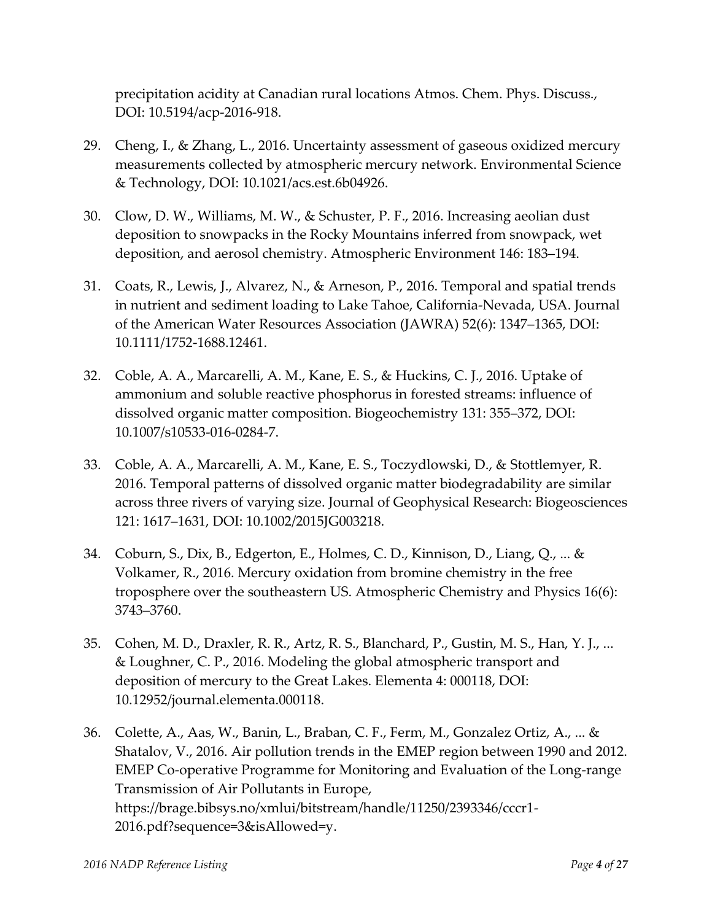precipitation acidity at Canadian rural locations Atmos. Chem. Phys. Discuss., DOI: 10.5194/acp-2016-918.

- 29. Cheng, I., & Zhang, L., 2016. Uncertainty assessment of gaseous oxidized mercury measurements collected by atmospheric mercury network. Environmental Science & Technology, DOI: 10.1021/acs.est.6b04926.
- 30. Clow, D. W., Williams, M. W., & Schuster, P. F., 2016. Increasing aeolian dust deposition to snowpacks in the Rocky Mountains inferred from snowpack, wet deposition, and aerosol chemistry. Atmospheric Environment 146: 183–194.
- 31. Coats, R., Lewis, J., Alvarez, N., & Arneson, P., 2016. Temporal and spatial trends in nutrient and sediment loading to Lake Tahoe, California-Nevada, USA. Journal of the American Water Resources Association (JAWRA) 52(6): 1347–1365, DOI: 10.1111/1752-1688.12461.
- 32. Coble, A. A., Marcarelli, A. M., Kane, E. S., & Huckins, C. J., 2016. Uptake of ammonium and soluble reactive phosphorus in forested streams: influence of dissolved organic matter composition. Biogeochemistry 131: 355–372, DOI: 10.1007/s10533-016-0284-7.
- 33. Coble, A. A., Marcarelli, A. M., Kane, E. S., Toczydlowski, D., & Stottlemyer, R. 2016. Temporal patterns of dissolved organic matter biodegradability are similar across three rivers of varying size. Journal of Geophysical Research: Biogeosciences 121: 1617–1631, DOI: 10.1002/2015JG003218.
- 34. Coburn, S., Dix, B., Edgerton, E., Holmes, C. D., Kinnison, D., Liang, Q., ... & Volkamer, R., 2016. Mercury oxidation from bromine chemistry in the free troposphere over the southeastern US. Atmospheric Chemistry and Physics 16(6): 3743–3760.
- 35. Cohen, M. D., Draxler, R. R., Artz, R. S., Blanchard, P., Gustin, M. S., Han, Y. J., ... & Loughner, C. P., 2016. Modeling the global atmospheric transport and deposition of mercury to the Great Lakes. Elementa 4: 000118, DOI: 10.12952/journal.elementa.000118.
- 36. Colette, A., Aas, W., Banin, L., Braban, C. F., Ferm, M., Gonzalez Ortiz, A., ... & Shatalov, V., 2016. Air pollution trends in the EMEP region between 1990 and 2012. EMEP Co-operative Programme for Monitoring and Evaluation of the Long-range Transmission of Air Pollutants in Europe, https://brage.bibsys.no/xmlui/bitstream/handle/11250/2393346/cccr1- 2016.pdf?sequence=3&isAllowed=y.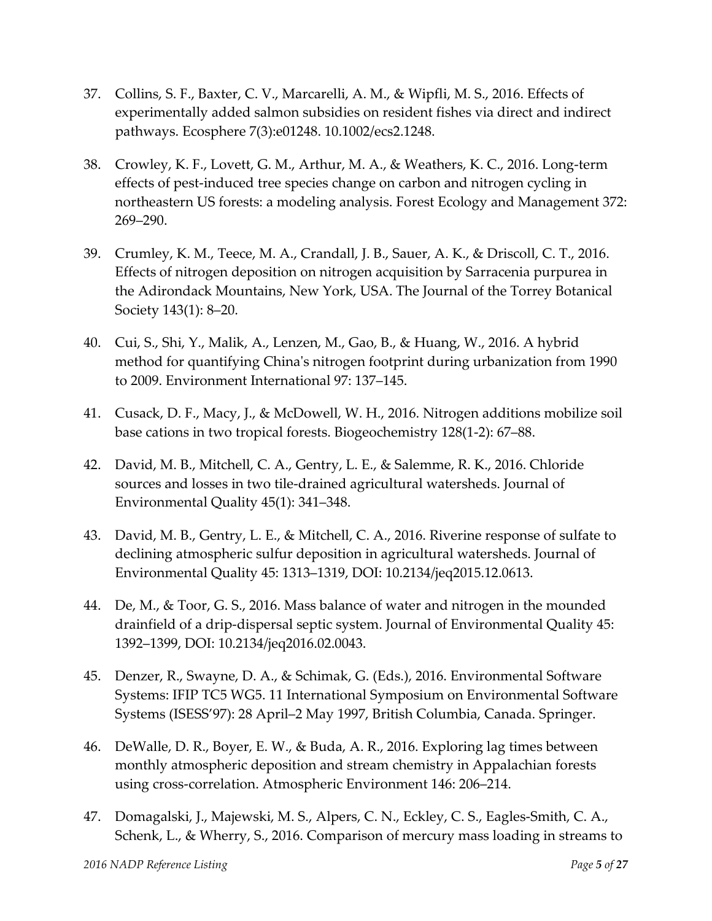- 37. Collins, S. F., Baxter, C. V., Marcarelli, A. M., & Wipfli, M. S., 2016. Effects of experimentally added salmon subsidies on resident fishes via direct and indirect pathways. Ecosphere 7(3):e01248. 10.1002/ecs2.1248.
- 38. Crowley, K. F., Lovett, G. M., Arthur, M. A., & Weathers, K. C., 2016. Long-term effects of pest-induced tree species change on carbon and nitrogen cycling in northeastern US forests: a modeling analysis. Forest Ecology and Management 372: 269–290.
- 39. Crumley, K. M., Teece, M. A., Crandall, J. B., Sauer, A. K., & Driscoll, C. T., 2016. Effects of nitrogen deposition on nitrogen acquisition by Sarracenia purpurea in the Adirondack Mountains, New York, USA. The Journal of the Torrey Botanical Society 143(1): 8–20.
- 40. Cui, S., Shi, Y., Malik, A., Lenzen, M., Gao, B., & Huang, W., 2016. A hybrid method for quantifying China's nitrogen footprint during urbanization from 1990 to 2009. Environment International 97: 137–145.
- 41. Cusack, D. F., Macy, J., & McDowell, W. H., 2016. Nitrogen additions mobilize soil base cations in two tropical forests. Biogeochemistry 128(1-2): 67–88.
- 42. David, M. B., Mitchell, C. A., Gentry, L. E., & Salemme, R. K., 2016. Chloride sources and losses in two tile-drained agricultural watersheds. Journal of Environmental Quality 45(1): 341–348.
- 43. David, M. B., Gentry, L. E., & Mitchell, C. A., 2016. Riverine response of sulfate to declining atmospheric sulfur deposition in agricultural watersheds. Journal of Environmental Quality 45: 1313–1319, DOI: 10.2134/jeq2015.12.0613.
- 44. De, M., & Toor, G. S., 2016. Mass balance of water and nitrogen in the mounded drainfield of a drip-dispersal septic system. Journal of Environmental Quality 45: 1392–1399, DOI: 10.2134/jeq2016.02.0043.
- 45. Denzer, R., Swayne, D. A., & Schimak, G. (Eds.), 2016. Environmental Software Systems: IFIP TC5 WG5. 11 International Symposium on Environmental Software Systems (ISESS'97): 28 April–2 May 1997, British Columbia, Canada. Springer.
- 46. DeWalle, D. R., Boyer, E. W., & Buda, A. R., 2016. Exploring lag times between monthly atmospheric deposition and stream chemistry in Appalachian forests using cross-correlation. Atmospheric Environment 146: 206–214.
- 47. Domagalski, J., Majewski, M. S., Alpers, C. N., Eckley, C. S., Eagles-Smith, C. A., Schenk, L., & Wherry, S., 2016. Comparison of mercury mass loading in streams to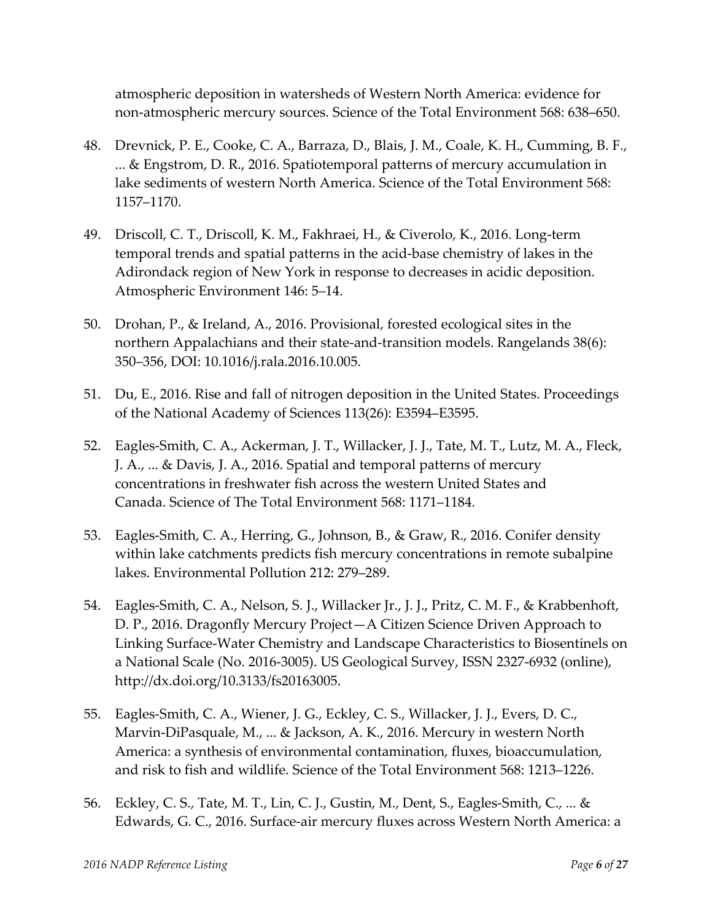atmospheric deposition in watersheds of Western North America: evidence for non-atmospheric mercury sources. Science of the Total Environment 568: 638–650.

- 48. Drevnick, P. E., Cooke, C. A., Barraza, D., Blais, J. M., Coale, K. H., Cumming, B. F., ... & Engstrom, D. R., 2016. Spatiotemporal patterns of mercury accumulation in lake sediments of western North America. Science of the Total Environment 568: 1157–1170.
- 49. Driscoll, C. T., Driscoll, K. M., Fakhraei, H., & Civerolo, K., 2016. Long-term temporal trends and spatial patterns in the acid-base chemistry of lakes in the Adirondack region of New York in response to decreases in acidic deposition. Atmospheric Environment 146: 5–14.
- 50. Drohan, P., & Ireland, A., 2016. Provisional, forested ecological sites in the northern Appalachians and their state-and-transition models. Rangelands 38(6): 350–356, DOI: 10.1016/j.rala.2016.10.005.
- 51. Du, E., 2016. Rise and fall of nitrogen deposition in the United States. Proceedings of the National Academy of Sciences 113(26): E3594–E3595.
- 52. Eagles-Smith, C. A., Ackerman, J. T., Willacker, J. J., Tate, M. T., Lutz, M. A., Fleck, J. A., ... & Davis, J. A., 2016. Spatial and temporal patterns of mercury concentrations in freshwater fish across the western United States and Canada. Science of The Total Environment 568: 1171–1184.
- 53. Eagles-Smith, C. A., Herring, G., Johnson, B., & Graw, R., 2016. Conifer density within lake catchments predicts fish mercury concentrations in remote subalpine lakes. Environmental Pollution 212: 279–289.
- 54. Eagles-Smith, C. A., Nelson, S. J., Willacker Jr., J. J., Pritz, C. M. F., & Krabbenhoft, D. P., 2016. Dragonfly Mercury Project—A Citizen Science Driven Approach to Linking Surface-Water Chemistry and Landscape Characteristics to Biosentinels on a National Scale (No. 2016-3005). US Geological Survey, ISSN 2327-6932 (online), http://dx.doi.org/10.3133/fs20163005.
- 55. Eagles-Smith, C. A., Wiener, J. G., Eckley, C. S., Willacker, J. J., Evers, D. C., Marvin-DiPasquale, M., ... & Jackson, A. K., 2016. Mercury in western North America: a synthesis of environmental contamination, fluxes, bioaccumulation, and risk to fish and wildlife. Science of the Total Environment 568: 1213–1226.
- 56. Eckley, C. S., Tate, M. T., Lin, C. J., Gustin, M., Dent, S., Eagles-Smith, C., ... & Edwards, G. C., 2016. Surface-air mercury fluxes across Western North America: a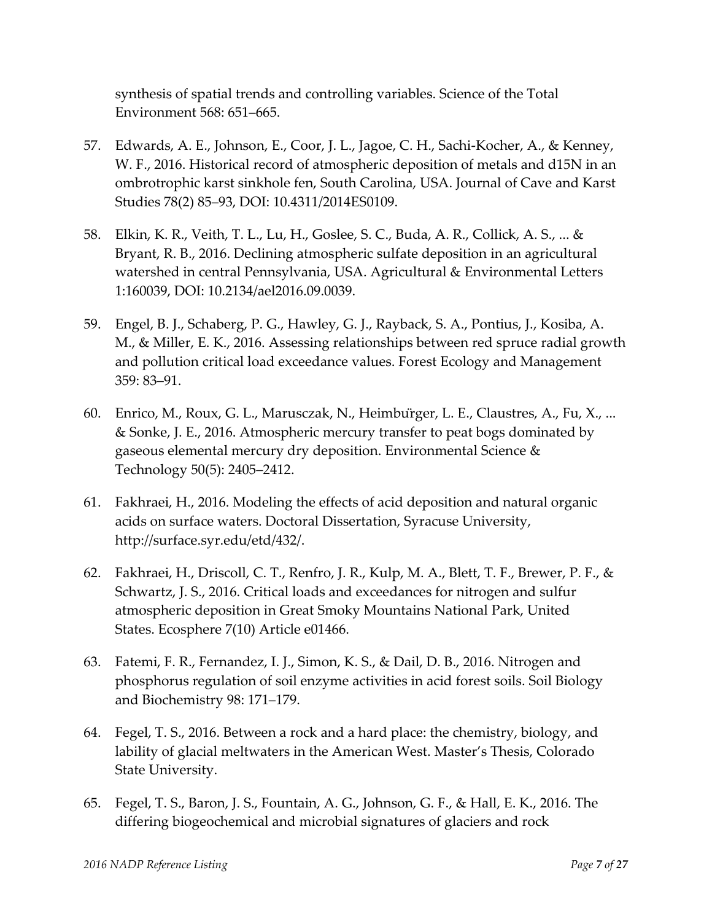synthesis of spatial trends and controlling variables. Science of the Total Environment 568: 651–665.

- 57. Edwards, A. E., Johnson, E., Coor, J. L., Jagoe, C. H., Sachi-Kocher, A., & Kenney, W. F., 2016. Historical record of atmospheric deposition of metals and d15N in an ombrotrophic karst sinkhole fen, South Carolina, USA. Journal of Cave and Karst Studies 78(2) 85–93, DOI: 10.4311/2014ES0109.
- 58. Elkin, K. R., Veith, T. L., Lu, H., Goslee, S. C., Buda, A. R., Collick, A. S., ... & Bryant, R. B., 2016. Declining atmospheric sulfate deposition in an agricultural watershed in central Pennsylvania, USA. Agricultural & Environmental Letters 1:160039, DOI: 10.2134/ael2016.09.0039.
- 59. Engel, B. J., Schaberg, P. G., Hawley, G. J., Rayback, S. A., Pontius, J., Kosiba, A. M., & Miller, E. K., 2016. Assessing relationships between red spruce radial growth and pollution critical load exceedance values. Forest Ecology and Management 359: 83–91.
- 60. Enrico, M., Roux, G. L., Marusczak, N., Heimbürger, L. E., Claustres, A., Fu, X., ... & Sonke, J. E., 2016. Atmospheric mercury transfer to peat bogs dominated by gaseous elemental mercury dry deposition. Environmental Science & Technology 50(5): 2405–2412.
- 61. Fakhraei, H., 2016. Modeling the effects of acid deposition and natural organic acids on surface waters. Doctoral Dissertation, Syracuse University, http://surface.syr.edu/etd/432/.
- 62. Fakhraei, H., Driscoll, C. T., Renfro, J. R., Kulp, M. A., Blett, T. F., Brewer, P. F., & Schwartz, J. S., 2016. Critical loads and exceedances for nitrogen and sulfur atmospheric deposition in Great Smoky Mountains National Park, United States. Ecosphere 7(10) Article e01466.
- 63. Fatemi, F. R., Fernandez, I. J., Simon, K. S., & Dail, D. B., 2016. Nitrogen and phosphorus regulation of soil enzyme activities in acid forest soils. Soil Biology and Biochemistry 98: 171–179.
- 64. Fegel, T. S., 2016. Between a rock and a hard place: the chemistry, biology, and lability of glacial meltwaters in the American West. Master's Thesis, Colorado State University.
- 65. Fegel, T. S., Baron, J. S., Fountain, A. G., Johnson, G. F., & Hall, E. K., 2016. The differing biogeochemical and microbial signatures of glaciers and rock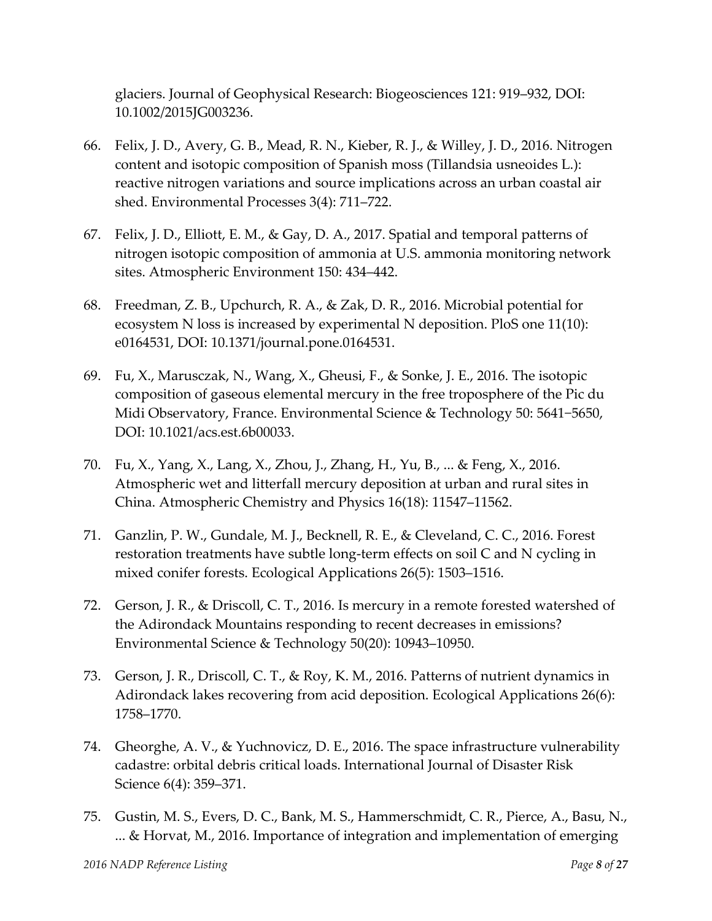glaciers. Journal of Geophysical Research: Biogeosciences 121: 919–932, DOI: 10.1002/2015JG003236.

- 66. Felix, J. D., Avery, G. B., Mead, R. N., Kieber, R. J., & Willey, J. D., 2016. Nitrogen content and isotopic composition of Spanish moss (Tillandsia usneoides L.): reactive nitrogen variations and source implications across an urban coastal air shed. Environmental Processes 3(4): 711–722.
- 67. Felix, J. D., Elliott, E. M., & Gay, D. A., 2017. Spatial and temporal patterns of nitrogen isotopic composition of ammonia at U.S. ammonia monitoring network sites. Atmospheric Environment 150: 434–442.
- 68. Freedman, Z. B., Upchurch, R. A., & Zak, D. R., 2016. Microbial potential for ecosystem N loss is increased by experimental N deposition. PloS one 11(10): e0164531, DOI: 10.1371/journal.pone.0164531.
- 69. Fu, X., Marusczak, N., Wang, X., Gheusi, F., & Sonke, J. E., 2016. The isotopic composition of gaseous elemental mercury in the free troposphere of the Pic du Midi Observatory, France. Environmental Science & Technology 50: 5641−5650, DOI: 10.1021/acs.est.6b00033.
- 70. Fu, X., Yang, X., Lang, X., Zhou, J., Zhang, H., Yu, B., ... & Feng, X., 2016. Atmospheric wet and litterfall mercury deposition at urban and rural sites in China. Atmospheric Chemistry and Physics 16(18): 11547–11562.
- 71. Ganzlin, P. W., Gundale, M. J., Becknell, R. E., & Cleveland, C. C., 2016. Forest restoration treatments have subtle long-term effects on soil C and N cycling in mixed conifer forests. Ecological Applications 26(5): 1503–1516.
- 72. Gerson, J. R., & Driscoll, C. T., 2016. Is mercury in a remote forested watershed of the Adirondack Mountains responding to recent decreases in emissions? Environmental Science & Technology 50(20): 10943–10950.
- 73. Gerson, J. R., Driscoll, C. T., & Roy, K. M., 2016. Patterns of nutrient dynamics in Adirondack lakes recovering from acid deposition. Ecological Applications 26(6): 1758–1770.
- 74. Gheorghe, A. V., & Yuchnovicz, D. E., 2016. The space infrastructure vulnerability cadastre: orbital debris critical loads. International Journal of Disaster Risk Science 6(4): 359–371.
- 75. Gustin, M. S., Evers, D. C., Bank, M. S., Hammerschmidt, C. R., Pierce, A., Basu, N., ... & Horvat, M., 2016. Importance of integration and implementation of emerging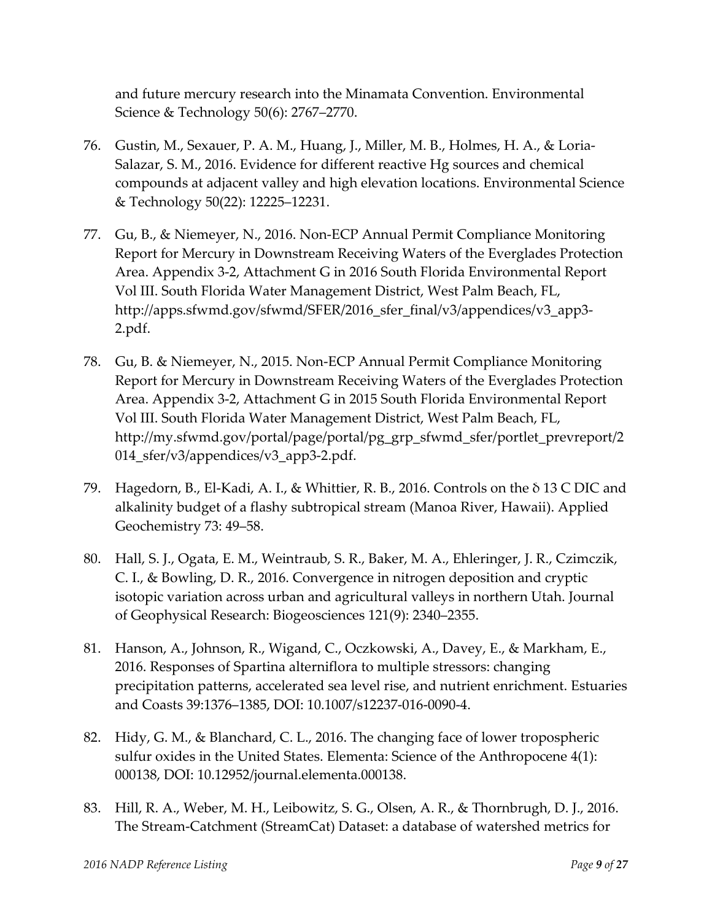and future mercury research into the Minamata Convention. Environmental Science & Technology 50(6): 2767–2770.

- 76. Gustin, M., Sexauer, P. A. M., Huang, J., Miller, M. B., Holmes, H. A., & Loria-Salazar, S. M., 2016. Evidence for different reactive Hg sources and chemical compounds at adjacent valley and high elevation locations. Environmental Science & Technology 50(22): 12225–12231.
- 77. Gu, B., & Niemeyer, N., 2016. Non-ECP Annual Permit Compliance Monitoring Report for Mercury in Downstream Receiving Waters of the Everglades Protection Area. Appendix 3-2, Attachment G in 2016 South Florida Environmental Report Vol III. South Florida Water Management District, West Palm Beach, FL, [http://apps.sfwmd.gov/sfwmd/SFER/2016\\_sfer\\_final/v3/appendices/v3\\_app3-](https://urldefense.proofpoint.com/v2/url?u=http-3A__apps.sfwmd.gov_sfwmd_SFER_2016-5Fsfer-5Ffinal_v3_appendices_v3-5Fapp3-2D2.pdf&d=DQMFAg&c=8hUWFZcy2Z-Za5rBPlktOQ&r=KPwLQAYRdkPLsrFH5W1UNYX37lRoNPyk4-F46hpB_ao&m=glCLKwz1KOrZPuy7sLKtnvQ5v-mf_QI7QxWqRssHmr8&s=a9Wtq2Bu7svlbO5DF6IWPi4DKa5Oas3NHljcJ3fijl4&e=) [2.pdf.](https://urldefense.proofpoint.com/v2/url?u=http-3A__apps.sfwmd.gov_sfwmd_SFER_2016-5Fsfer-5Ffinal_v3_appendices_v3-5Fapp3-2D2.pdf&d=DQMFAg&c=8hUWFZcy2Z-Za5rBPlktOQ&r=KPwLQAYRdkPLsrFH5W1UNYX37lRoNPyk4-F46hpB_ao&m=glCLKwz1KOrZPuy7sLKtnvQ5v-mf_QI7QxWqRssHmr8&s=a9Wtq2Bu7svlbO5DF6IWPi4DKa5Oas3NHljcJ3fijl4&e=)
- 78. Gu, B. & Niemeyer, N., 2015. Non-ECP Annual Permit Compliance Monitoring Report for Mercury in Downstream Receiving Waters of the Everglades Protection Area. Appendix 3-2, Attachment G in 2015 South Florida Environmental Report Vol III. South Florida Water Management District, West Palm Beach, FL, [http://my.sfwmd.gov/portal/page/portal/pg\\_grp\\_sfwmd\\_sfer/portlet\\_prevreport/2](https://urldefense.proofpoint.com/v2/url?u=http-3A__my.sfwmd.gov_portal_page_portal_pg-5Fgrp-5Fsfwmd-5Fsfer_portlet-5Fprevreport_2014-5Fsfer_v3_appendices_v3-5Fapp3-2D2.pdf&d=DQMFAg&c=8hUWFZcy2Z-Za5rBPlktOQ&r=KPwLQAYRdkPLsrFH5W1UNYX37lRoNPyk4-F46hpB_ao&m=glCLKwz1KOrZPuy7sLKtnvQ5v-mf_QI7QxWqRssHmr8&s=SIb9F5J6PWEwJdBws7U3y6R6n25oJ-CIzpJZpZnucc4&e=) [014\\_sfer/v3/appendices/v3\\_app3-2.pdf.](https://urldefense.proofpoint.com/v2/url?u=http-3A__my.sfwmd.gov_portal_page_portal_pg-5Fgrp-5Fsfwmd-5Fsfer_portlet-5Fprevreport_2014-5Fsfer_v3_appendices_v3-5Fapp3-2D2.pdf&d=DQMFAg&c=8hUWFZcy2Z-Za5rBPlktOQ&r=KPwLQAYRdkPLsrFH5W1UNYX37lRoNPyk4-F46hpB_ao&m=glCLKwz1KOrZPuy7sLKtnvQ5v-mf_QI7QxWqRssHmr8&s=SIb9F5J6PWEwJdBws7U3y6R6n25oJ-CIzpJZpZnucc4&e=)
- 79. Hagedorn, B., El-Kadi, A. I., & Whittier, R. B., 2016. Controls on the δ 13 C DIC and alkalinity budget of a flashy subtropical stream (Manoa River, Hawaii). Applied Geochemistry 73: 49–58.
- 80. Hall, S. J., Ogata, E. M., Weintraub, S. R., Baker, M. A., Ehleringer, J. R., Czimczik, C. I., & Bowling, D. R., 2016. Convergence in nitrogen deposition and cryptic isotopic variation across urban and agricultural valleys in northern Utah. Journal of Geophysical Research: Biogeosciences 121(9): 2340–2355.
- 81. Hanson, A., Johnson, R., Wigand, C., Oczkowski, A., Davey, E., & Markham, E., 2016. Responses of Spartina alterniflora to multiple stressors: changing precipitation patterns, accelerated sea level rise, and nutrient enrichment. Estuaries and Coasts 39:1376–1385, DOI: 10.1007/s12237-016-0090-4.
- 82. Hidy, G. M., & Blanchard, C. L., 2016. The changing face of lower tropospheric sulfur oxides in the United States. Elementa: Science of the Anthropocene 4(1): 000138, DOI: 10.12952/journal.elementa.000138.
- 83. Hill, R. A., Weber, M. H., Leibowitz, S. G., Olsen, A. R., & Thornbrugh, D. J., 2016. The Stream-Catchment (StreamCat) Dataset: a database of watershed metrics for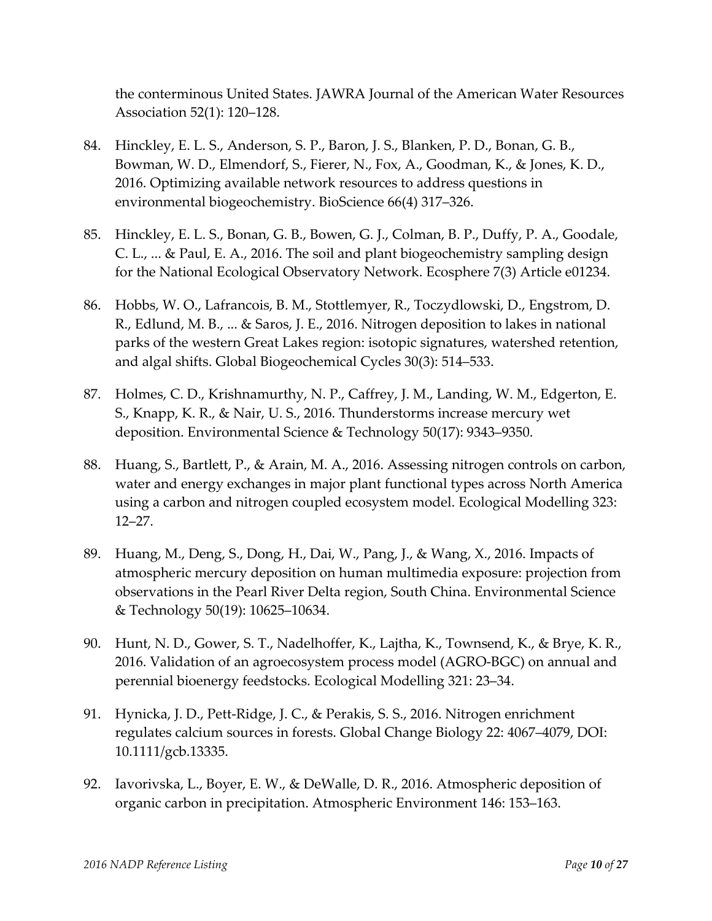the conterminous United States. JAWRA Journal of the American Water Resources Association 52(1): 120–128.

- 84. Hinckley, E. L. S., Anderson, S. P., Baron, J. S., Blanken, P. D., Bonan, G. B., Bowman, W. D., Elmendorf, S., Fierer, N., Fox, A., Goodman, K., & Jones, K. D., 2016. Optimizing available network resources to address questions in environmental biogeochemistry. BioScience 66(4) 317–326.
- 85. Hinckley, E. L. S., Bonan, G. B., Bowen, G. J., Colman, B. P., Duffy, P. A., Goodale, C. L., ... & Paul, E. A., 2016. The soil and plant biogeochemistry sampling design for the National Ecological Observatory Network. Ecosphere 7(3) Article e01234.
- 86. Hobbs, W. O., Lafrancois, B. M., Stottlemyer, R., Toczydlowski, D., Engstrom, D. R., Edlund, M. B., ... & Saros, J. E., 2016. Nitrogen deposition to lakes in national parks of the western Great Lakes region: isotopic signatures, watershed retention, and algal shifts. Global Biogeochemical Cycles 30(3): 514–533.
- 87. Holmes, C. D., Krishnamurthy, N. P., Caffrey, J. M., Landing, W. M., Edgerton, E. S., Knapp, K. R., & Nair, U. S., 2016. Thunderstorms increase mercury wet deposition. Environmental Science & Technology 50(17): 9343–9350.
- 88. Huang, S., Bartlett, P., & Arain, M. A., 2016. Assessing nitrogen controls on carbon, water and energy exchanges in major plant functional types across North America using a carbon and nitrogen coupled ecosystem model. Ecological Modelling 323: 12–27.
- 89. Huang, M., Deng, S., Dong, H., Dai, W., Pang, J., & Wang, X., 2016. Impacts of atmospheric mercury deposition on human multimedia exposure: projection from observations in the Pearl River Delta region, South China. Environmental Science & Technology 50(19): 10625–10634.
- 90. Hunt, N. D., Gower, S. T., Nadelhoffer, K., Lajtha, K., Townsend, K., & Brye, K. R., 2016. Validation of an agroecosystem process model (AGRO-BGC) on annual and perennial bioenergy feedstocks. Ecological Modelling 321: 23–34.
- 91. Hynicka, J. D., Pett-Ridge, J. C., & Perakis, S. S., 2016. Nitrogen enrichment regulates calcium sources in forests. Global Change Biology 22: 4067–4079, DOI: 10.1111/gcb.13335.
- 92. Iavorivska, L., Boyer, E. W., & DeWalle, D. R., 2016. Atmospheric deposition of organic carbon in precipitation. Atmospheric Environment [146:](http://www.sciencedirect.com/science/journal/13522310/146/supp/C) 153–163.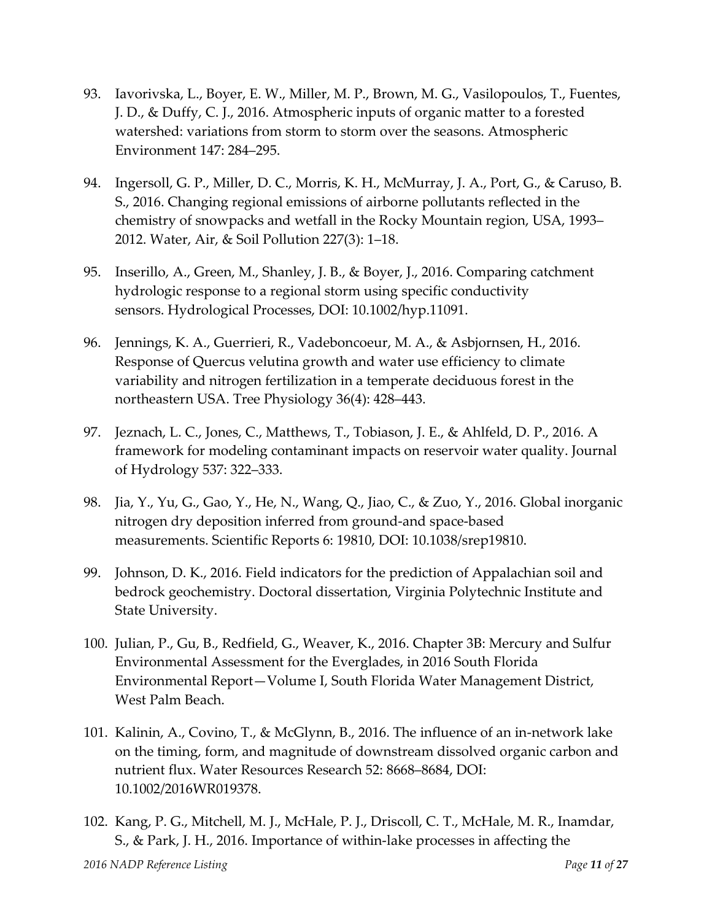- 93. Iavorivska, L., Boyer, E. W., Miller, M. P., Brown, M. G., Vasilopoulos, T., Fuentes, J. D., & Duffy, C. J., 2016. Atmospheric inputs of organic matter to a forested watershed: variations from storm to storm over the seasons. Atmospheric Environment 147: 284–295.
- 94. Ingersoll, G. P., Miller, D. C., Morris, K. H., McMurray, J. A., Port, G., & Caruso, B. S., 2016. Changing regional emissions of airborne pollutants reflected in the chemistry of snowpacks and wetfall in the Rocky Mountain region, USA, 1993– 2012. Water, Air, & Soil Pollution 227(3): 1–18.
- 95. Inserillo, A., Green, M., Shanley, J. B., & Boyer, J., 2016. Comparing catchment hydrologic response to a regional storm using specific conductivity sensors. Hydrological Processes, DOI: 10.1002/hyp.11091.
- 96. Jennings, K. A., Guerrieri, R., Vadeboncoeur, M. A., & Asbjornsen, H., 2016. Response of Quercus velutina growth and water use efficiency to climate variability and nitrogen fertilization in a temperate deciduous forest in the northeastern USA. Tree Physiology 36(4): 428–443.
- 97. Jeznach, L. C., Jones, C., Matthews, T., Tobiason, J. E., & Ahlfeld, D. P., 2016. A framework for modeling contaminant impacts on reservoir water quality. Journal of Hydrology 537: 322–333.
- 98. Jia, Y., Yu, G., Gao, Y., He, N., Wang, Q., Jiao, C., & Zuo, Y., 2016. Global inorganic nitrogen dry deposition inferred from ground-and space-based measurements. Scientific Reports 6: 19810, DOI: 10.1038/srep19810.
- 99. Johnson, D. K., 2016. Field indicators for the prediction of Appalachian soil and bedrock geochemistry. Doctoral dissertation, Virginia Polytechnic Institute and State University.
- 100. Julian, P., Gu, B., Redfield, G., Weaver, K., 2016. Chapter 3B: Mercury and Sulfur Environmental Assessment for the Everglades, in 2016 South Florida Environmental Report—Volume I, South Florida Water Management District, West Palm Beach.
- 101. Kalinin, A., Covino, T., & McGlynn, B., 2016. The influence of an in-network lake on the timing, form, and magnitude of downstream dissolved organic carbon and nutrient flux. Water Resources Research 52: 8668–8684, DOI: 10.1002/2016WR019378.
- 102. Kang, P. G., Mitchell, M. J., McHale, P. J., Driscoll, C. T., McHale, M. R., Inamdar, S., & Park, J. H., 2016. Importance of within-lake processes in affecting the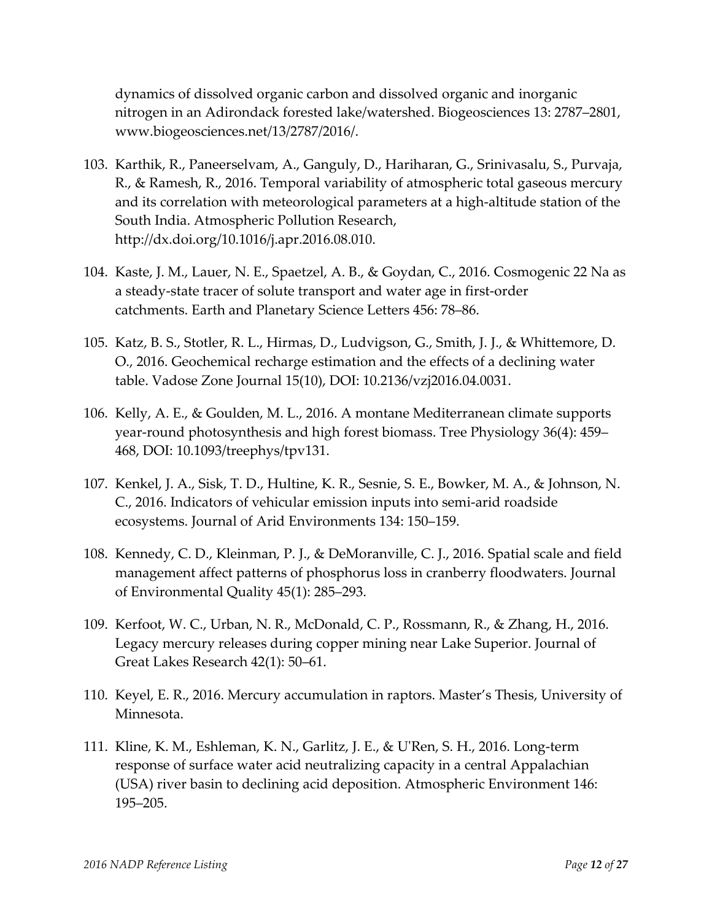dynamics of dissolved organic carbon and dissolved organic and inorganic nitrogen in an Adirondack forested lake/watershed. Biogeosciences 13: 2787–2801, www.biogeosciences.net/13/2787/2016/.

- 103. Karthik, R., Paneerselvam, A., Ganguly, D., Hariharan, G., Srinivasalu, S., Purvaja, R., & Ramesh, R., 2016. Temporal variability of atmospheric total gaseous mercury and its correlation with meteorological parameters at a high-altitude station of the South India. Atmospheric Pollution Research, http://dx.doi.org/10.1016/j.apr.2016.08.010.
- 104. Kaste, J. M., Lauer, N. E., Spaetzel, A. B., & Goydan, C., 2016. Cosmogenic 22 Na as a steady-state tracer of solute transport and water age in first-order catchments. Earth and Planetary Science Letters 456: 78–86.
- 105. Katz, B. S., Stotler, R. L., Hirmas, D., Ludvigson, G., Smith, J. J., & Whittemore, D. O., 2016. Geochemical recharge estimation and the effects of a declining water table. Vadose Zone Journal 15(10), DOI: 10.2136/vzj2016.04.0031.
- 106. Kelly, A. E., & Goulden, M. L., 2016. A montane Mediterranean climate supports year-round photosynthesis and high forest biomass. Tree Physiology 36(4): 459– 468, DOI: 10.1093/treephys/tpv131.
- 107. Kenkel, J. A., Sisk, T. D., Hultine, K. R., Sesnie, S. E., Bowker, M. A., & Johnson, N. C., 2016. Indicators of vehicular emission inputs into semi-arid roadside ecosystems. Journal of Arid Environments 134: 150–159.
- 108. Kennedy, C. D., Kleinman, P. J., & DeMoranville, C. J., 2016. Spatial scale and field management affect patterns of phosphorus loss in cranberry floodwaters. Journal of Environmental Quality 45(1): 285–293.
- 109. Kerfoot, W. C., Urban, N. R., McDonald, C. P., Rossmann, R., & Zhang, H., 2016. Legacy mercury releases during copper mining near Lake Superior. Journal of Great Lakes Research 42(1): 50–61.
- 110. Keyel, E. R., 2016. Mercury accumulation in raptors. Master's Thesis, University of Minnesota.
- 111. Kline, K. M., Eshleman, K. N., Garlitz, J. E., & U'Ren, S. H., 2016. Long-term response of surface water acid neutralizing capacity in a central Appalachian (USA) river basin to declining acid deposition. Atmospheric Environment 146: 195–205.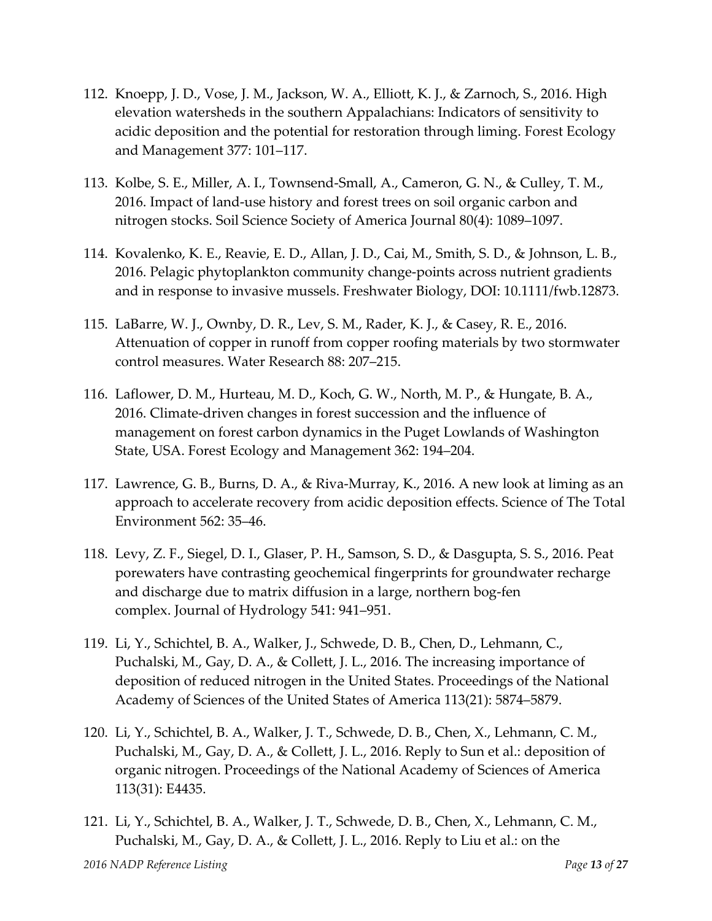- 112. Knoepp, J. D., Vose, J. M., Jackson, W. A., Elliott, K. J., & Zarnoch, S., 2016. High elevation watersheds in the southern Appalachians: Indicators of sensitivity to acidic deposition and the potential for restoration through liming. Forest Ecology and Management 377: 101–117.
- 113. Kolbe, S. E., Miller, A. I., Townsend-Small, A., Cameron, G. N., & Culley, T. M., 2016. Impact of land-use history and forest trees on soil organic carbon and nitrogen stocks. Soil Science Society of America Journal 80(4): 1089–1097.
- 114. Kovalenko, K. E., Reavie, E. D., Allan, J. D., Cai, M., Smith, S. D., & Johnson, L. B., 2016. Pelagic phytoplankton community change-points across nutrient gradients and in response to invasive mussels. Freshwater Biology, DOI: 10.1111/fwb.12873.
- 115. LaBarre, W. J., Ownby, D. R., Lev, S. M., Rader, K. J., & Casey, R. E., 2016. Attenuation of copper in runoff from copper roofing materials by two stormwater control measures. Water Research 88: 207–215.
- 116. Laflower, D. M., Hurteau, M. D., Koch, G. W., North, M. P., & Hungate, B. A., 2016. Climate-driven changes in forest succession and the influence of management on forest carbon dynamics in the Puget Lowlands of Washington State, USA. Forest Ecology and Management 362: 194–204.
- 117. Lawrence, G. B., Burns, D. A., & Riva-Murray, K., 2016. A new look at liming as an approach to accelerate recovery from acidic deposition effects. Science of The Total Environment 562: 35–46.
- 118. Levy, Z. F., Siegel, D. I., Glaser, P. H., Samson, S. D., & Dasgupta, S. S., 2016. Peat porewaters have contrasting geochemical fingerprints for groundwater recharge and discharge due to matrix diffusion in a large, northern bog-fen complex. Journal of Hydrology 541: 941–951.
- 119. Li, Y., Schichtel, B. A., Walker, J., Schwede, D. B., Chen, D., Lehmann, C., Puchalski, M., Gay, D. A., & Collett, J. L., 2016. The increasing importance of deposition of reduced nitrogen in the United States. Proceedings of the National Academy of Sciences of the United States of America 113(21): 5874–5879.
- 120. Li, Y., Schichtel, B. A., Walker, J. T., Schwede, D. B., Chen, X., Lehmann, C. M., Puchalski, M., Gay, D. A., & Collett, J. L., 2016. Reply to Sun et al.: deposition of organic nitrogen. Proceedings of the National Academy of Sciences of America 113(31): E4435.
- 121. Li, Y., Schichtel, B. A., Walker, J. T., Schwede, D. B., Chen, X., Lehmann, C. M., Puchalski, M., Gay, D. A., & Collett, J. L., 2016. Reply to Liu et al.: on the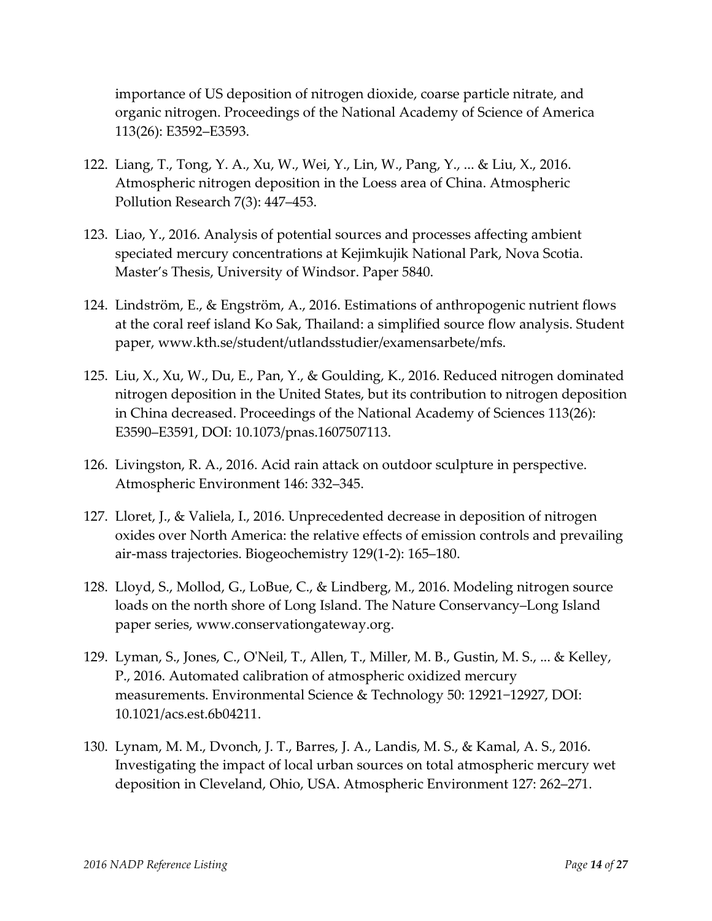importance of US deposition of nitrogen dioxide, coarse particle nitrate, and organic nitrogen. Proceedings of the National Academy of Science of America 113(26): E3592–E3593.

- 122. Liang, T., Tong, Y. A., Xu, W., Wei, Y., Lin, W., Pang, Y., ... & Liu, X., 2016. Atmospheric nitrogen deposition in the Loess area of China. Atmospheric Pollution Research 7(3): 447–453.
- 123. Liao, Y., 2016. Analysis of potential sources and processes affecting ambient speciated mercury concentrations at Kejimkujik National Park, Nova Scotia. Master's Thesis, University of Windsor. Paper 5840.
- 124. Lindström, E., & Engström, A., 2016. Estimations of anthropogenic nutrient flows at the coral reef island Ko Sak, Thailand: a simplified source flow analysis. Student paper, www.kth.se/student/utlandsstudier/examensarbete/mfs.
- 125. Liu, X., Xu, W., Du, E., Pan, Y., & Goulding, K., 2016. Reduced nitrogen dominated nitrogen deposition in the United States, but its contribution to nitrogen deposition in China decreased. Proceedings of the National Academy of Sciences 113(26): E3590–E3591, DOI: 10.1073/pnas.1607507113.
- 126. Livingston, R. A., 2016. Acid rain attack on outdoor sculpture in perspective. Atmospheric Environment 146: 332–345.
- 127. Lloret, J., & Valiela, I., 2016. Unprecedented decrease in deposition of nitrogen oxides over North America: the relative effects of emission controls and prevailing air-mass trajectories. Biogeochemistry 129(1-2): 165–180.
- 128. Lloyd, S., Mollod, G., LoBue, C., & Lindberg, M., 2016. Modeling nitrogen source loads on the north shore of Long Island. The Nature Conservancy–Long Island paper series, www.conservationgateway.org.
- 129. Lyman, S., Jones, C., O'Neil, T., Allen, T., Miller, M. B., Gustin, M. S., ... & Kelley, P., 2016. Automated calibration of atmospheric oxidized mercury measurements. Environmental Science & Technology 50: 12921−12927, DOI: 10.1021/acs.est.6b04211.
- 130. Lynam, M. M., Dvonch, J. T., Barres, J. A., Landis, M. S., & Kamal, A. S., 2016. Investigating the impact of local urban sources on total atmospheric mercury wet deposition in Cleveland, Ohio, USA. Atmospheric Environment 127: 262–271.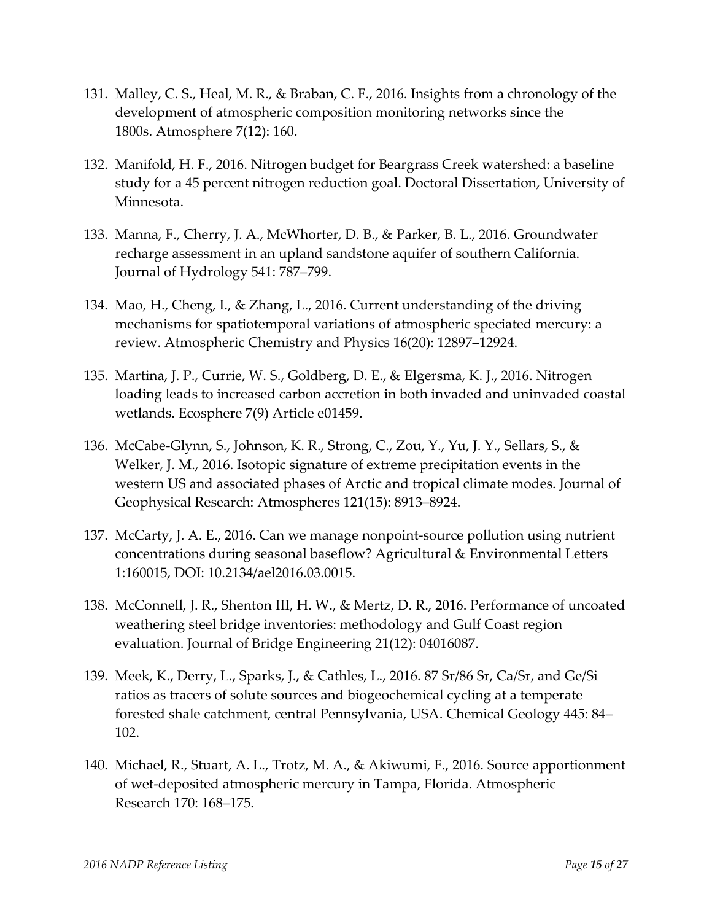- 131. Malley, C. S., Heal, M. R., & Braban, C. F., 2016. Insights from a chronology of the development of atmospheric composition monitoring networks since the 1800s. Atmosphere 7(12): 160.
- 132. Manifold, H. F., 2016. Nitrogen budget for Beargrass Creek watershed: a baseline study for a 45 percent nitrogen reduction goal. Doctoral Dissertation, University of Minnesota.
- 133. Manna, F., Cherry, J. A., McWhorter, D. B., & Parker, B. L., 2016. Groundwater recharge assessment in an upland sandstone aquifer of southern California. Journal of Hydrology 541: 787–799.
- 134. Mao, H., Cheng, I., & Zhang, L., 2016. Current understanding of the driving mechanisms for spatiotemporal variations of atmospheric speciated mercury: a review. Atmospheric Chemistry and Physics 16(20): 12897–12924.
- 135. Martina, J. P., Currie, W. S., Goldberg, D. E., & Elgersma, K. J., 2016. Nitrogen loading leads to increased carbon accretion in both invaded and uninvaded coastal wetlands. Ecosphere 7(9) Article e01459.
- 136. McCabe-Glynn, S., Johnson, K. R., Strong, C., Zou, Y., Yu, J. Y., Sellars, S., & Welker, J. M., 2016. Isotopic signature of extreme precipitation events in the western US and associated phases of Arctic and tropical climate modes. Journal of Geophysical Research: Atmospheres 121(15): 8913–8924.
- 137. McCarty, J. A. E., 2016. Can we manage nonpoint-source pollution using nutrient concentrations during seasonal baseflow? Agricultural & Environmental Letters 1:160015, DOI: 10.2134/ael2016.03.0015.
- 138. McConnell, J. R., Shenton III, H. W., & Mertz, D. R., 2016. Performance of uncoated weathering steel bridge inventories: methodology and Gulf Coast region evaluation. Journal of Bridge Engineering 21(12): 04016087.
- 139. Meek, K., Derry, L., Sparks, J., & Cathles, L., 2016. 87 Sr/86 Sr, Ca/Sr, and Ge/Si ratios as tracers of solute sources and biogeochemical cycling at a temperate forested shale catchment, central Pennsylvania, USA. Chemical Geology 445: 84– 102.
- 140. Michael, R., Stuart, A. L., Trotz, M. A., & Akiwumi, F., 2016. Source apportionment of wet-deposited atmospheric mercury in Tampa, Florida. Atmospheric Research 170: 168–175.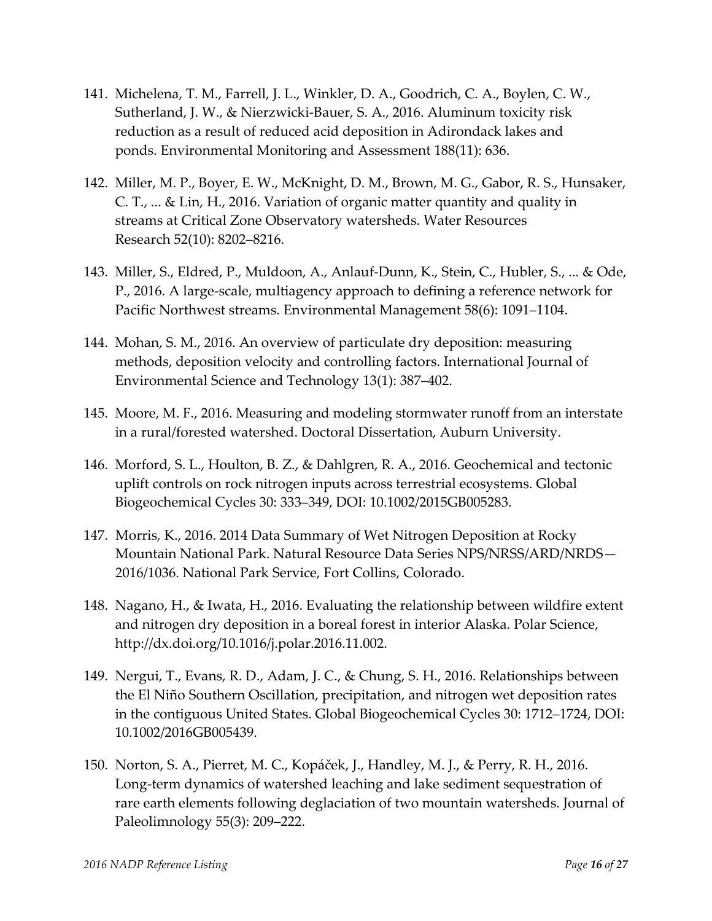- 141. Michelena, T. M., Farrell, J. L., Winkler, D. A., Goodrich, C. A., Boylen, C. W., Sutherland, J. W., & Nierzwicki-Bauer, S. A., 2016. Aluminum toxicity risk reduction as a result of reduced acid deposition in Adirondack lakes and ponds. Environmental Monitoring and Assessment 188(11): 636.
- 142. Miller, M. P., Boyer, E. W., McKnight, D. M., Brown, M. G., Gabor, R. S., Hunsaker, C. T., ... & Lin, H., 2016. Variation of organic matter quantity and quality in streams at Critical Zone Observatory watersheds. Water Resources Research 52(10): 8202–8216.
- 143. Miller, S., Eldred, P., Muldoon, A., Anlauf-Dunn, K., Stein, C., Hubler, S., ... & Ode, P., 2016. A large-scale, multiagency approach to defining a reference network for Pacific Northwest streams. Environmental Management 58(6): 1091–1104.
- 144. Mohan, S. M., 2016. An overview of particulate dry deposition: measuring methods, deposition velocity and controlling factors. International Journal of Environmental Science and Technology 13(1): 387–402.
- 145. Moore, M. F., 2016. Measuring and modeling stormwater runoff from an interstate in a rural/forested watershed. Doctoral Dissertation, Auburn University.
- 146. Morford, S. L., Houlton, B. Z., & Dahlgren, R. A., 2016. Geochemical and tectonic uplift controls on rock nitrogen inputs across terrestrial ecosystems. Global Biogeochemical Cycles 30: 333–349, DOI: 10.1002/2015GB005283.
- 147. Morris, K., 2016. 2014 Data Summary of Wet Nitrogen Deposition at Rocky Mountain National Park. Natural Resource Data Series NPS/NRSS/ARD/NRDS— 2016/1036. National Park Service, Fort Collins, Colorado.
- 148. Nagano, H., & Iwata, H., 2016. Evaluating the relationship between wildfire extent and nitrogen dry deposition in a boreal forest in interior Alaska. Polar Science, http://dx.doi.org/10.1016/j.polar.2016.11.002.
- 149. Nergui, T., Evans, R. D., Adam, J. C., & Chung, S. H., 2016. Relationships between the El Niño Southern Oscillation, precipitation, and nitrogen wet deposition rates in the contiguous United States. Global Biogeochemical Cycles 30: 1712–1724, DOI: 10.1002/2016GB005439.
- 150. Norton, S. A., Pierret, M. C., Kopáček, J., Handley, M. J., & Perry, R. H., 2016. Long-term dynamics of watershed leaching and lake sediment sequestration of rare earth elements following deglaciation of two mountain watersheds. Journal of Paleolimnology 55(3): 209–222.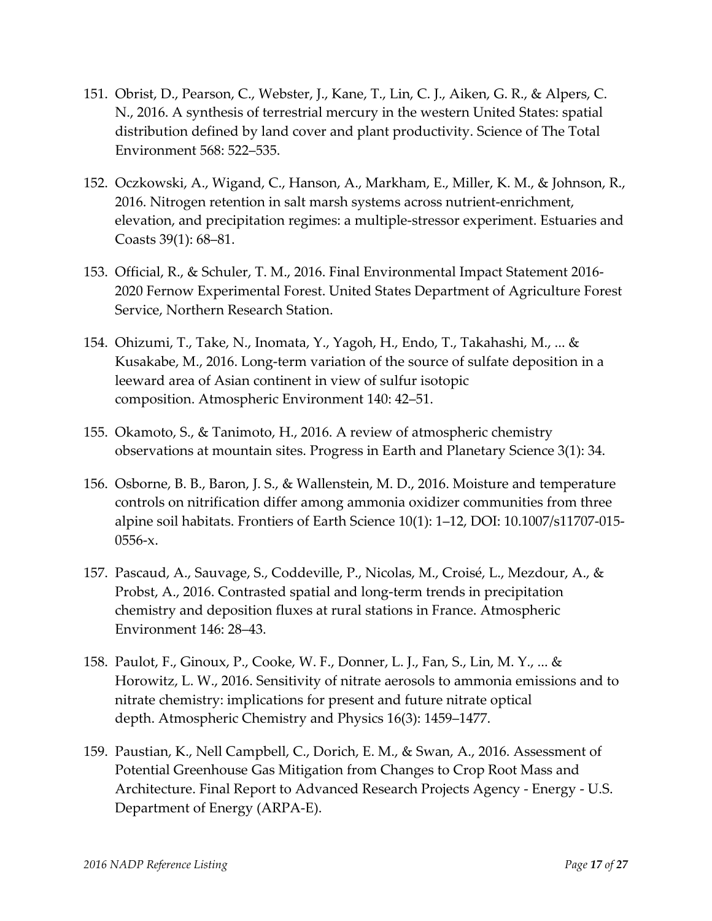- 151. Obrist, D., Pearson, C., Webster, J., Kane, T., Lin, C. J., Aiken, G. R., & Alpers, C. N., 2016. A synthesis of terrestrial mercury in the western United States: spatial distribution defined by land cover and plant productivity. Science of The Total Environment 568: 522–535.
- 152. Oczkowski, A., Wigand, C., Hanson, A., Markham, E., Miller, K. M., & Johnson, R., 2016. Nitrogen retention in salt marsh systems across nutrient-enrichment, elevation, and precipitation regimes: a multiple-stressor experiment. Estuaries and Coasts 39(1): 68–81.
- 153. Official, R., & Schuler, T. M., 2016. Final Environmental Impact Statement 2016- 2020 Fernow Experimental Forest. United States Department of Agriculture Forest Service, Northern Research Station.
- 154. Ohizumi, T., Take, N., Inomata, Y., Yagoh, H., Endo, T., Takahashi, M., ... & Kusakabe, M., 2016. Long-term variation of the source of sulfate deposition in a leeward area of Asian continent in view of sulfur isotopic composition. Atmospheric Environment 140: 42–51.
- 155. Okamoto, S., & Tanimoto, H., 2016. A review of atmospheric chemistry observations at mountain sites. Progress in Earth and Planetary Science 3(1): 34.
- 156. Osborne, B. B., Baron, J. S., & Wallenstein, M. D., 2016. Moisture and temperature controls on nitrification differ among ammonia oxidizer communities from three alpine soil habitats. Frontiers of Earth Science 10(1): 1–12, DOI: 10.1007/s11707-015- 0556-x.
- 157. Pascaud, A., Sauvage, S., Coddeville, P., Nicolas, M., Croisé, L., Mezdour, A., & Probst, A., 2016. Contrasted spatial and long-term trends in precipitation chemistry and deposition fluxes at rural stations in France. Atmospheric Environment 146: 28–43.
- 158. Paulot, F., Ginoux, P., Cooke, W. F., Donner, L. J., Fan, S., Lin, M. Y., ... & Horowitz, L. W., 2016. Sensitivity of nitrate aerosols to ammonia emissions and to nitrate chemistry: implications for present and future nitrate optical depth. Atmospheric Chemistry and Physics 16(3): 1459–1477.
- 159. Paustian, K., Nell Campbell, C., Dorich, E. M., & Swan, A., 2016. Assessment of Potential Greenhouse Gas Mitigation from Changes to Crop Root Mass and Architecture. Final Report to Advanced Research Projects Agency - Energy - U.S. Department of Energy (ARPA-E).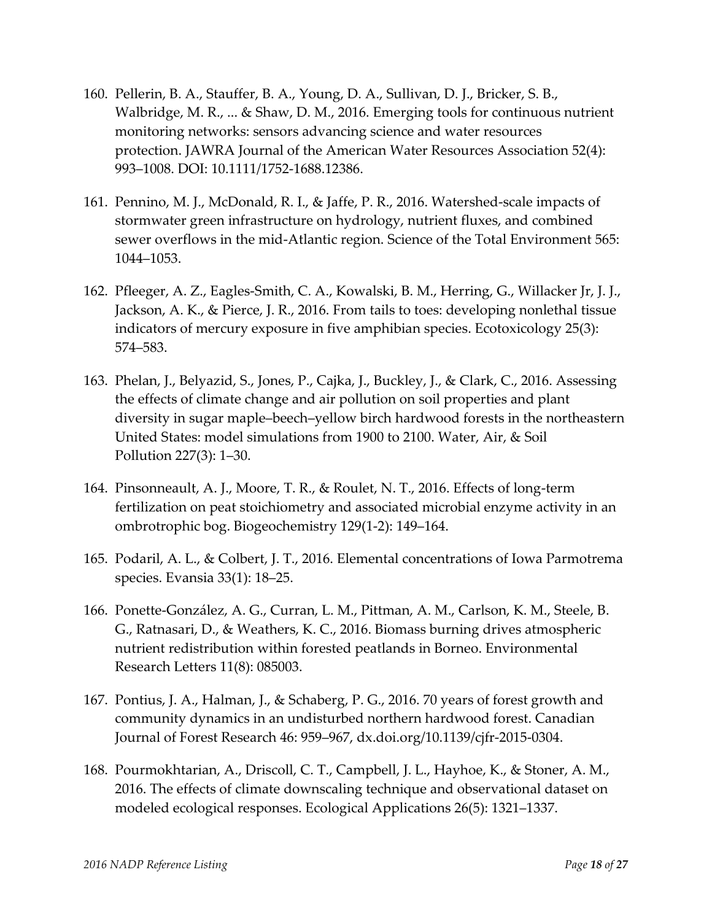- 160. Pellerin, B. A., Stauffer, B. A., Young, D. A., Sullivan, D. J., Bricker, S. B., Walbridge, M. R., ... & Shaw, D. M., 2016. Emerging tools for continuous nutrient monitoring networks: sensors advancing science and water resources protection. JAWRA Journal of the American Water Resources Association 52(4): 993–1008. DOI: 10.1111/1752-1688.12386.
- 161. Pennino, M. J., McDonald, R. I., & Jaffe, P. R., 2016. Watershed-scale impacts of stormwater green infrastructure on hydrology, nutrient fluxes, and combined sewer overflows in the mid-Atlantic region. Science of the Total Environment 565: 1044–1053.
- 162. Pfleeger, A. Z., Eagles-Smith, C. A., Kowalski, B. M., Herring, G., Willacker Jr, J. J., Jackson, A. K., & Pierce, J. R., 2016. From tails to toes: developing nonlethal tissue indicators of mercury exposure in five amphibian species. Ecotoxicology 25(3): 574–583.
- 163. Phelan, J., Belyazid, S., Jones, P., Cajka, J., Buckley, J., & Clark, C., 2016. Assessing the effects of climate change and air pollution on soil properties and plant diversity in sugar maple–beech–yellow birch hardwood forests in the northeastern United States: model simulations from 1900 to 2100. Water, Air, & Soil Pollution 227(3): 1–30.
- 164. Pinsonneault, A. J., Moore, T. R., & Roulet, N. T., 2016. Effects of long-term fertilization on peat stoichiometry and associated microbial enzyme activity in an ombrotrophic bog. Biogeochemistry 129(1-2): 149–164.
- 165. Podaril, A. L., & Colbert, J. T., 2016. Elemental concentrations of Iowa Parmotrema species. Evansia 33(1): 18–25.
- 166. Ponette-González, A. G., Curran, L. M., Pittman, A. M., Carlson, K. M., Steele, B. G., Ratnasari, D., & Weathers, K. C., 2016. Biomass burning drives atmospheric nutrient redistribution within forested peatlands in Borneo. Environmental Research Letters 11(8): 085003.
- 167. Pontius, J. A., Halman, J., & Schaberg, P. G., 2016. 70 years of forest growth and community dynamics in an undisturbed northern hardwood forest. Canadian Journal of Forest Research 46: 959–967, dx.doi.org/10.1139/cjfr-2015-0304.
- 168. Pourmokhtarian, A., Driscoll, C. T., Campbell, J. L., Hayhoe, K., & Stoner, A. M., 2016. The effects of climate downscaling technique and observational dataset on modeled ecological responses. Ecological Applications 26(5): 1321–1337.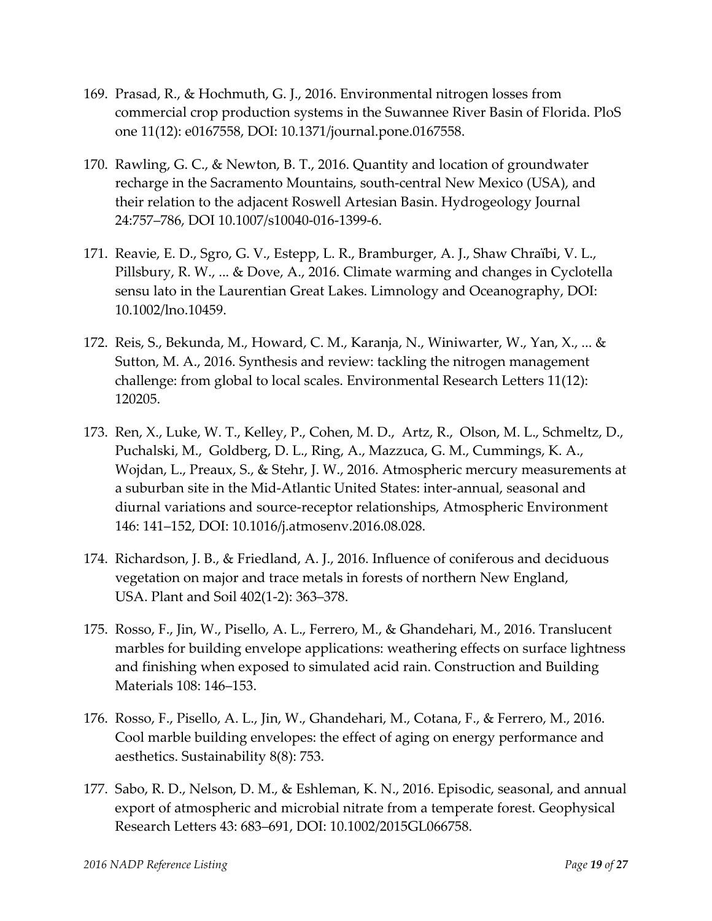- 169. Prasad, R., & Hochmuth, G. J., 2016. Environmental nitrogen losses from commercial crop production systems in the Suwannee River Basin of Florida. PloS one 11(12): e0167558, DOI: 10.1371/journal.pone.0167558.
- 170. Rawling, G. C., & Newton, B. T., 2016. Quantity and location of groundwater recharge in the Sacramento Mountains, south-central New Mexico (USA), and their relation to the adjacent Roswell Artesian Basin. Hydrogeology Journal 24:757–786, DOI 10.1007/s10040-016-1399-6.
- 171. Reavie, E. D., Sgro, G. V., Estepp, L. R., Bramburger, A. J., Shaw Chraïbi, V. L., Pillsbury, R. W., ... & Dove, A., 2016. Climate warming and changes in Cyclotella sensu lato in the Laurentian Great Lakes. Limnology and Oceanography, DOI: 10.1002/lno.10459.
- 172. Reis, S., Bekunda, M., Howard, C. M., Karanja, N., Winiwarter, W., Yan, X., ... & Sutton, M. A., 2016. Synthesis and review: tackling the nitrogen management challenge: from global to local scales. Environmental Research Letters 11(12): 120205.
- 173. Ren, X., Luke, W. T., Kelley, P., Cohen, M. D., Artz, R., Olson, M. L., Schmeltz, D., Puchalski, M., Goldberg, D. L., Ring, A., Mazzuca, G. M., Cummings, K. A., Wojdan, L., Preaux, S., & Stehr, J. W., 2016. Atmospheric mercury measurements at a suburban site in the Mid-Atlantic United States: inter-annual, seasonal and diurnal variations and source-receptor relationships, Atmospheric Environment 146: 141–152, DOI: 10.1016/j.atmosenv.2016.08.028.
- 174. Richardson, J. B., & Friedland, A. J., 2016. Influence of coniferous and deciduous vegetation on major and trace metals in forests of northern New England, USA. Plant and Soil 402(1-2): 363–378.
- 175. Rosso, F., Jin, W., Pisello, A. L., Ferrero, M., & Ghandehari, M., 2016. Translucent marbles for building envelope applications: weathering effects on surface lightness and finishing when exposed to simulated acid rain. Construction and Building Materials 108: 146–153.
- 176. Rosso, F., Pisello, A. L., Jin, W., Ghandehari, M., Cotana, F., & Ferrero, M., 2016. Cool marble building envelopes: the effect of aging on energy performance and aesthetics. Sustainability 8(8): 753.
- 177. Sabo, R. D., Nelson, D. M., & Eshleman, K. N., 2016. Episodic, seasonal, and annual export of atmospheric and microbial nitrate from a temperate forest. Geophysical Research Letters 43: 683–691, DOI: 10.1002/2015GL066758.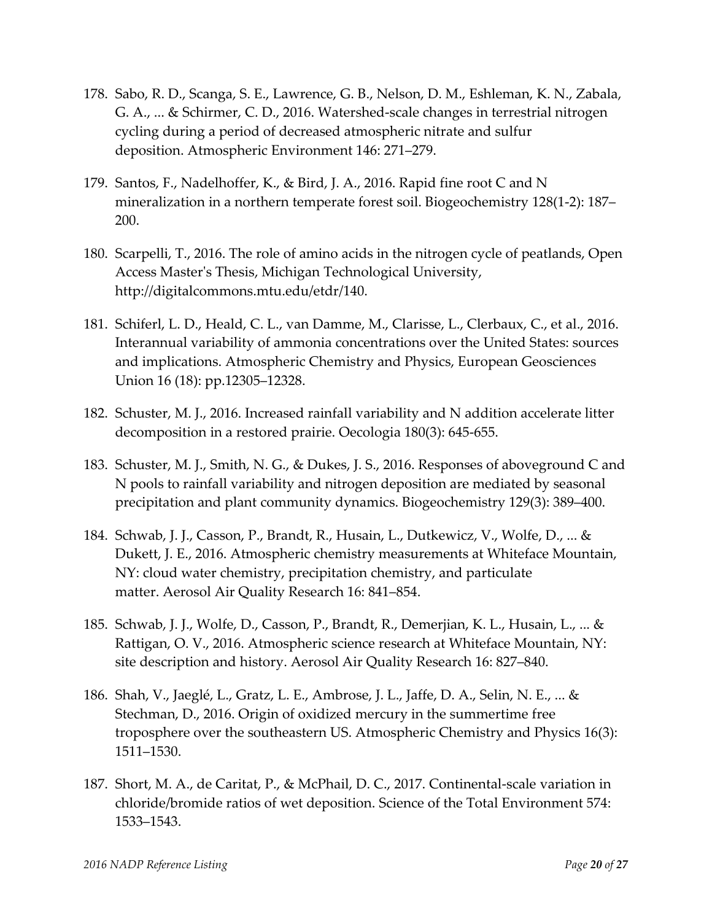- 178. Sabo, R. D., Scanga, S. E., Lawrence, G. B., Nelson, D. M., Eshleman, K. N., Zabala, G. A., ... & Schirmer, C. D., 2016. Watershed-scale changes in terrestrial nitrogen cycling during a period of decreased atmospheric nitrate and sulfur deposition. Atmospheric Environment 146: 271–279.
- 179. Santos, F., Nadelhoffer, K., & Bird, J. A., 2016. Rapid fine root C and N mineralization in a northern temperate forest soil. Biogeochemistry 128(1-2): 187– 200.
- 180. Scarpelli, T., 2016. The role of amino acids in the nitrogen cycle of peatlands, Open Access Master's Thesis, Michigan Technological University, [http://digitalcommons.mtu.edu/etdr/140.](http://digitalcommons.mtu.edu/etdr/140)
- 181. Schiferl, L. D., Heald, C. L., van Damme, M., Clarisse, L., Clerbaux, C., et al., 2016. Interannual variability of ammonia concentrations over the United States: sources and implications. Atmospheric Chemistry and Physics, European Geosciences Union 16 (18): pp.12305–12328.
- 182. Schuster, M. J., 2016. Increased rainfall variability and N addition accelerate litter decomposition in a restored prairie. Oecologia 180(3): 645-655.
- 183. Schuster, M. J., Smith, N. G., & Dukes, J. S., 2016. Responses of aboveground C and N pools to rainfall variability and nitrogen deposition are mediated by seasonal precipitation and plant community dynamics. Biogeochemistry 129(3): 389–400.
- 184. Schwab, J. J., Casson, P., Brandt, R., Husain, L., Dutkewicz, V., Wolfe, D., ... & Dukett, J. E., 2016. Atmospheric chemistry measurements at Whiteface Mountain, NY: cloud water chemistry, precipitation chemistry, and particulate matter. Aerosol Air Quality Research 16: 841–854.
- 185. Schwab, J. J., Wolfe, D., Casson, P., Brandt, R., Demerjian, K. L., Husain, L., ... & Rattigan, O. V., 2016. Atmospheric science research at Whiteface Mountain, NY: site description and history. Aerosol Air Quality Research 16: 827–840.
- 186. Shah, V., Jaeglé, L., Gratz, L. E., Ambrose, J. L., Jaffe, D. A., Selin, N. E., ... & Stechman, D., 2016. Origin of oxidized mercury in the summertime free troposphere over the southeastern US. Atmospheric Chemistry and Physics 16(3): 1511–1530.
- 187. Short, M. A., de Caritat, P., & McPhail, D. C., 2017. Continental-scale variation in chloride/bromide ratios of wet deposition. Science of the Total Environment 574: 1533–1543.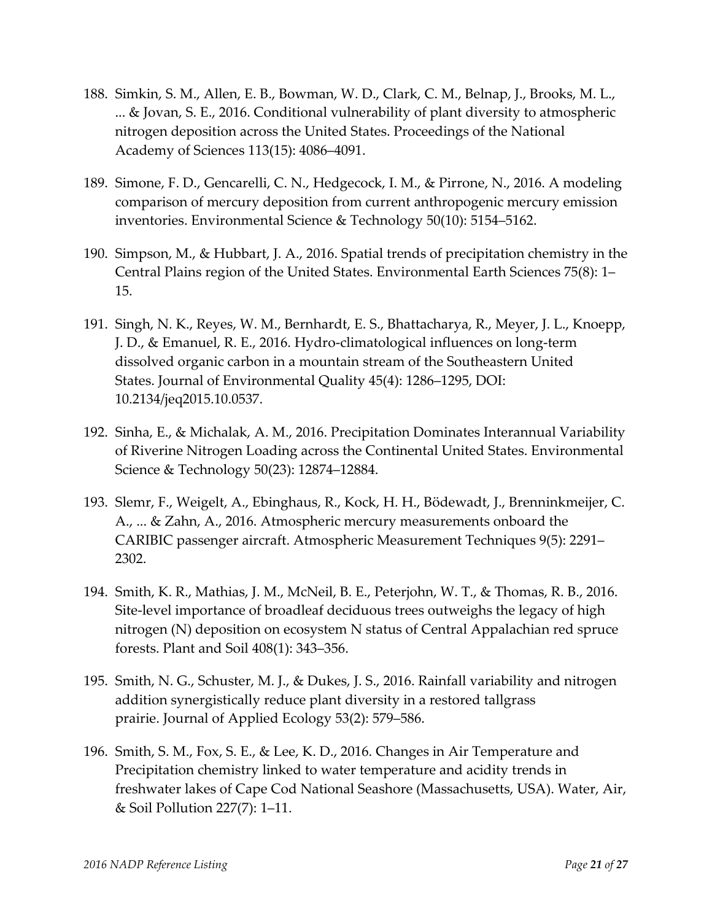- 188. Simkin, S. M., Allen, E. B., Bowman, W. D., Clark, C. M., Belnap, J., Brooks, M. L., ... & Jovan, S. E., 2016. Conditional vulnerability of plant diversity to atmospheric nitrogen deposition across the United States. Proceedings of the National Academy of Sciences 113(15): 4086–4091.
- 189. Simone, F. D., Gencarelli, C. N., Hedgecock, I. M., & Pirrone, N., 2016. A modeling comparison of mercury deposition from current anthropogenic mercury emission inventories. Environmental Science & Technology 50(10): 5154–5162.
- 190. Simpson, M., & Hubbart, J. A., 2016. Spatial trends of precipitation chemistry in the Central Plains region of the United States. Environmental Earth Sciences 75(8): 1– 15.
- 191. Singh, N. K., Reyes, W. M., Bernhardt, E. S., Bhattacharya, R., Meyer, J. L., Knoepp, J. D., & Emanuel, R. E., 2016. Hydro-climatological influences on long-term dissolved organic carbon in a mountain stream of the Southeastern United States. Journal of Environmental Quality 45(4): 1286–1295, DOI: 10.2134/jeq2015.10.0537.
- 192. Sinha, E., & Michalak, A. M., 2016. Precipitation Dominates Interannual Variability of Riverine Nitrogen Loading across the Continental United States. Environmental Science & Technology 50(23): 12874–12884.
- 193. Slemr, F., Weigelt, A., Ebinghaus, R., Kock, H. H., Bödewadt, J., Brenninkmeijer, C. A., ... & Zahn, A., 2016. Atmospheric mercury measurements onboard the CARIBIC passenger aircraft. Atmospheric Measurement Techniques 9(5): 2291– 2302.
- 194. Smith, K. R., Mathias, J. M., McNeil, B. E., Peterjohn, W. T., & Thomas, R. B., 2016. Site-level importance of broadleaf deciduous trees outweighs the legacy of high nitrogen (N) deposition on ecosystem N status of Central Appalachian red spruce forests. Plant and Soil 408(1): 343–356.
- 195. Smith, N. G., Schuster, M. J., & Dukes, J. S., 2016. Rainfall variability and nitrogen addition synergistically reduce plant diversity in a restored tallgrass prairie. Journal of Applied Ecology 53(2): 579–586.
- 196. Smith, S. M., Fox, S. E., & Lee, K. D., 2016. Changes in Air Temperature and Precipitation chemistry linked to water temperature and acidity trends in freshwater lakes of Cape Cod National Seashore (Massachusetts, USA). Water, Air, & Soil Pollution 227(7): 1–11.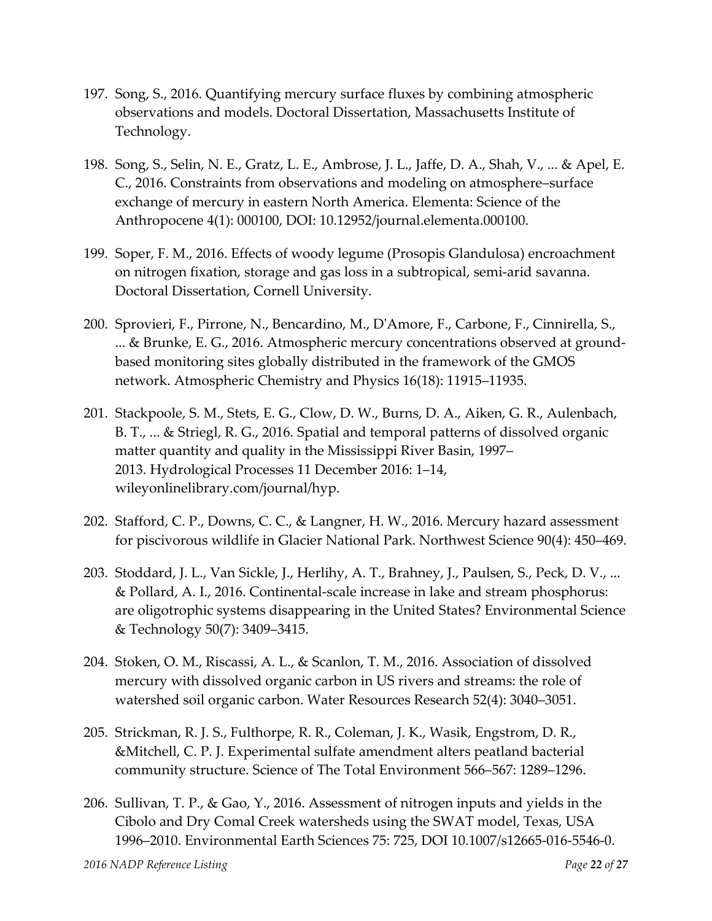- 197. Song, S., 2016. Quantifying mercury surface fluxes by combining atmospheric observations and models. Doctoral Dissertation, Massachusetts Institute of Technology.
- 198. Song, S., Selin, N. E., Gratz, L. E., Ambrose, J. L., Jaffe, D. A., Shah, V., ... & Apel, E. C., 2016. Constraints from observations and modeling on atmosphere–surface exchange of mercury in eastern North America. Elementa: Science of the Anthropocene 4(1): 000100, DOI: 10.12952/journal.elementa.000100.
- 199. Soper, F. M., 2016. Effects of woody legume (Prosopis Glandulosa) encroachment on nitrogen fixation, storage and gas loss in a subtropical, semi-arid savanna. Doctoral Dissertation, Cornell University.
- 200. Sprovieri, F., Pirrone, N., Bencardino, M., D'Amore, F., Carbone, F., Cinnirella, S., ... & Brunke, E. G., 2016. Atmospheric mercury concentrations observed at groundbased monitoring sites globally distributed in the framework of the GMOS network. Atmospheric Chemistry and Physics 16(18): 11915–11935.
- 201. Stackpoole, S. M., Stets, E. G., Clow, D. W., Burns, D. A., Aiken, G. R., Aulenbach, B. T., ... & Striegl, R. G., 2016. Spatial and temporal patterns of dissolved organic matter quantity and quality in the Mississippi River Basin, 1997– 2013. Hydrological Processes 11 December 2016: 1–14, wileyonlinelibrary.com/journal/hyp.
- 202. Stafford, C. P., Downs, C. C., & Langner, H. W., 2016. Mercury hazard assessment for piscivorous wildlife in Glacier National Park. Northwest Science 90(4): 450–469.
- 203. Stoddard, J. L., Van Sickle, J., Herlihy, A. T., Brahney, J., Paulsen, S., Peck, D. V., ... & Pollard, A. I., 2016. Continental-scale increase in lake and stream phosphorus: are oligotrophic systems disappearing in the United States? Environmental Science & Technology 50(7): 3409–3415.
- 204. Stoken, O. M., Riscassi, A. L., & Scanlon, T. M., 2016. Association of dissolved mercury with dissolved organic carbon in US rivers and streams: the role of watershed soil organic carbon. Water Resources Research 52(4): 3040–3051.
- 205. Strickman, R. J. S., Fulthorpe, R. R., Coleman, J. K., Wasik, Engstrom, D. R., &Mitchell, C. P. J. Experimental sulfate amendment alters peatland bacterial community structure. Science of The Total Environment 566–567: 1289–1296.
- 206. Sullivan, T. P., & Gao, Y., 2016. Assessment of nitrogen inputs and yields in the Cibolo and Dry Comal Creek watersheds using the SWAT model, Texas, USA 1996–2010. Environmental Earth Sciences 75: 725, DOI 10.1007/s12665-016-5546-0.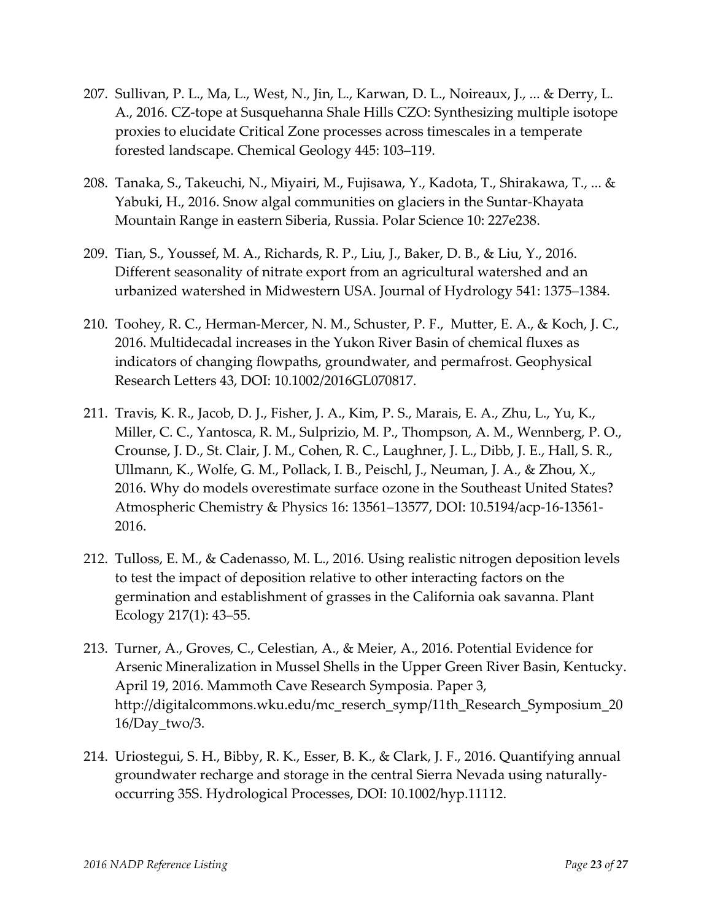- 207. Sullivan, P. L., Ma, L., West, N., Jin, L., Karwan, D. L., Noireaux, J., ... & Derry, L. A., 2016. CZ-tope at Susquehanna Shale Hills CZO: Synthesizing multiple isotope proxies to elucidate Critical Zone processes across timescales in a temperate forested landscape. Chemical Geology 445: 103–119.
- 208. Tanaka, S., Takeuchi, N., Miyairi, M., Fujisawa, Y., Kadota, T., Shirakawa, T., ... & Yabuki, H., 2016. Snow algal communities on glaciers in the Suntar-Khayata Mountain Range in eastern Siberia, Russia. Polar Science 10: 227e238.
- 209. Tian, S., Youssef, M. A., Richards, R. P., Liu, J., Baker, D. B., & Liu, Y., 2016. Different seasonality of nitrate export from an agricultural watershed and an urbanized watershed in Midwestern USA. Journal of Hydrology 541: 1375–1384.
- 210. Toohey, R. C., Herman-Mercer, N. M., Schuster, P. F., Mutter, E. A., & Koch, J. C., 2016. Multidecadal increases in the Yukon River Basin of chemical fluxes as indicators of changing flowpaths, groundwater, and permafrost. Geophysical Research Letters 43, DOI: 10.1002/2016GL070817.
- 211. Travis, K. R., Jacob, D. J., Fisher, J. A., Kim, P. S., Marais, E. A., Zhu, L., Yu, K., Miller, C. C., Yantosca, R. M., Sulprizio, M. P., Thompson, A. M., Wennberg, P. O., Crounse, J. D., St. Clair, J. M., Cohen, R. C., Laughner, J. L., Dibb, J. E., Hall, S. R., Ullmann, K., Wolfe, G. M., Pollack, I. B., Peischl, J., Neuman, J. A., & Zhou, X., 2016. Why do models overestimate surface ozone in the Southeast United States? Atmospheric Chemistry & Physics 16: 13561–13577, DOI: 10.5194/acp-16-13561- 2016.
- 212. Tulloss, E. M., & Cadenasso, M. L., 2016. Using realistic nitrogen deposition levels to test the impact of deposition relative to other interacting factors on the germination and establishment of grasses in the California oak savanna. Plant Ecology 217(1): 43–55.
- 213. Turner, A., Groves, C., Celestian, A., & Meier, A., 2016. Potential Evidence for Arsenic Mineralization in Mussel Shells in the Upper Green River Basin, Kentucky. April 19, 2016. Mammoth Cave Research Symposia. Paper 3, [http://digitalcommons.wku.edu/mc\\_reserch\\_symp/11th\\_Research\\_Symposium\\_20](http://digitalcommons.wku.edu/mc_reserch_symp/11th_Research_Symposium_2016/Day_two/3) [16/Day\\_two/3.](http://digitalcommons.wku.edu/mc_reserch_symp/11th_Research_Symposium_2016/Day_two/3)
- 214. Uriostegui, S. H., Bibby, R. K., Esser, B. K., & Clark, J. F., 2016. Quantifying annual groundwater recharge and storage in the central Sierra Nevada using naturallyoccurring 35S. Hydrological Processes, DOI: 10.1002/hyp.11112.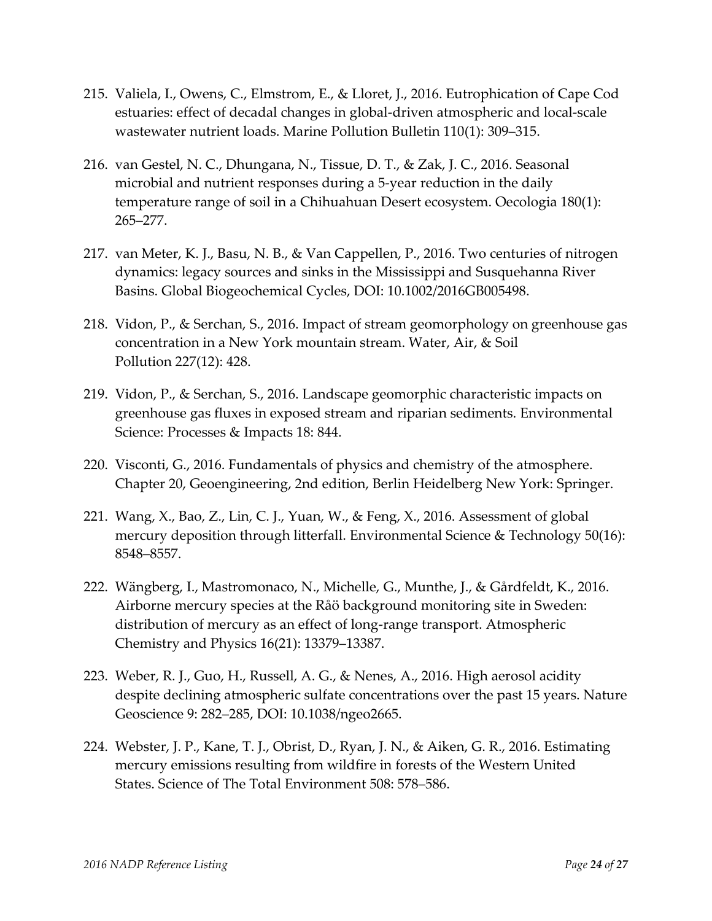- 215. Valiela, I., Owens, C., Elmstrom, E., & Lloret, J., 2016. Eutrophication of Cape Cod estuaries: effect of decadal changes in global-driven atmospheric and local-scale wastewater nutrient loads. Marine Pollution Bulletin 110(1): 309–315.
- 216. van Gestel, N. C., Dhungana, N., Tissue, D. T., & Zak, J. C., 2016. Seasonal microbial and nutrient responses during a 5-year reduction in the daily temperature range of soil in a Chihuahuan Desert ecosystem. Oecologia 180(1): 265–277.
- 217. van Meter, K. J., Basu, N. B., & Van Cappellen, P., 2016. Two centuries of nitrogen dynamics: legacy sources and sinks in the Mississippi and Susquehanna River Basins. Global Biogeochemical Cycles, DOI: 10.1002/2016GB005498.
- 218. Vidon, P., & Serchan, S., 2016. Impact of stream geomorphology on greenhouse gas concentration in a New York mountain stream. Water, Air, & Soil Pollution 227(12): 428.
- 219. Vidon, P., & Serchan, S., 2016. Landscape geomorphic characteristic impacts on greenhouse gas fluxes in exposed stream and riparian sediments. Environmental Science: Processes & Impacts 18: 844.
- 220. Visconti, G., 2016. Fundamentals of physics and chemistry of the atmosphere. Chapter 20, Geoengineering, 2nd edition, Berlin Heidelberg New York: Springer.
- 221. Wang, X., Bao, Z., Lin, C. J., Yuan, W., & Feng, X., 2016. Assessment of global mercury deposition through litterfall. Environmental Science & Technology 50(16): 8548–8557.
- 222. Wängberg, I., Mastromonaco, N., Michelle, G., Munthe, J., & Gårdfeldt, K., 2016. Airborne mercury species at the Råö background monitoring site in Sweden: distribution of mercury as an effect of long-range transport. Atmospheric Chemistry and Physics 16(21): 13379–13387.
- 223. Weber, R. J., Guo, H., Russell, A. G., & Nenes, A., 2016. High aerosol acidity despite declining atmospheric sulfate concentrations over the past 15 years. Nature Geoscience 9: 282–285, DOI: 10.1038/ngeo2665.
- 224. Webster, J. P., Kane, T. J., Obrist, D., Ryan, J. N., & Aiken, G. R., 2016. Estimating mercury emissions resulting from wildfire in forests of the Western United States. Science of The Total Environment 508: 578–586.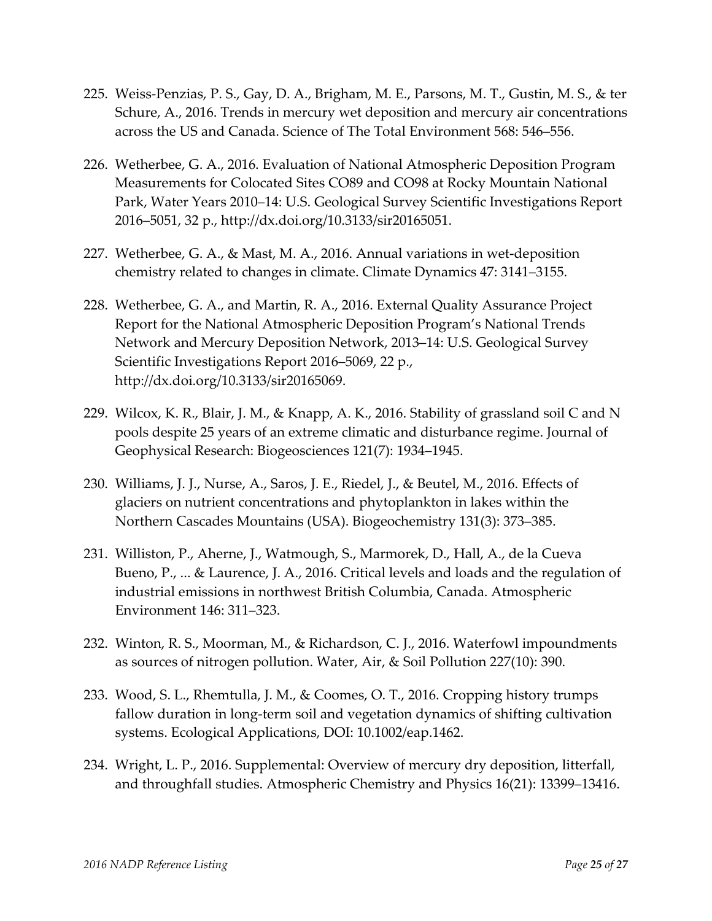- 225. Weiss-Penzias, P. S., Gay, D. A., Brigham, M. E., Parsons, M. T., Gustin, M. S., & ter Schure, A., 2016. Trends in mercury wet deposition and mercury air concentrations across the US and Canada. Science of The Total Environment 568: 546–556.
- 226. Wetherbee, G. A., 2016. Evaluation of National Atmospheric Deposition Program Measurements for Colocated Sites CO89 and CO98 at Rocky Mountain National Park, Water Years 2010–14: U.S. Geological Survey Scientific Investigations Report 2016–5051, 32 p., [http://dx.doi.org/10.3133/sir20165051.](http://dx.doi.org/10.3133/sir20165051)
- 227. Wetherbee, G. A., & Mast, M. A., 2016. Annual variations in wet-deposition chemistry related to changes in climate. Climate Dynamics 47: 3141–3155.
- 228. Wetherbee, G. A., and Martin, R. A., 2016. External Quality Assurance Project Report for the National Atmospheric Deposition Program's National Trends Network and Mercury Deposition Network, 2013–14: U.S. Geological Survey Scientific Investigations Report 2016–5069, 22 p., [http://dx.doi.org/10.3133/sir20165069.](http://dx.doi.org/10.3133/sir20165069)
- 229. Wilcox, K. R., Blair, J. M., & Knapp, A. K., 2016. Stability of grassland soil C and N pools despite 25 years of an extreme climatic and disturbance regime. Journal of Geophysical Research: Biogeosciences 121(7): 1934–1945.
- 230. Williams, J. J., Nurse, A., Saros, J. E., Riedel, J., & Beutel, M., 2016. Effects of glaciers on nutrient concentrations and phytoplankton in lakes within the Northern Cascades Mountains (USA). Biogeochemistry 131(3): 373–385.
- 231. Williston, P., Aherne, J., Watmough, S., Marmorek, D., Hall, A., de la Cueva Bueno, P., ... & Laurence, J. A., 2016. Critical levels and loads and the regulation of industrial emissions in northwest British Columbia, Canada. Atmospheric Environment 146: 311–323.
- 232. Winton, R. S., Moorman, M., & Richardson, C. J., 2016. Waterfowl impoundments as sources of nitrogen pollution. Water, Air, & Soil Pollution 227(10): 390.
- 233. Wood, S. L., Rhemtulla, J. M., & Coomes, O. T., 2016. Cropping history trumps fallow duration in long-term soil and vegetation dynamics of shifting cultivation systems. Ecological Applications, DOI: 10.1002/eap.1462.
- 234. Wright, L. P., 2016. Supplemental: Overview of mercury dry deposition, litterfall, and throughfall studies. Atmospheric Chemistry and Physics 16(21): 13399–13416.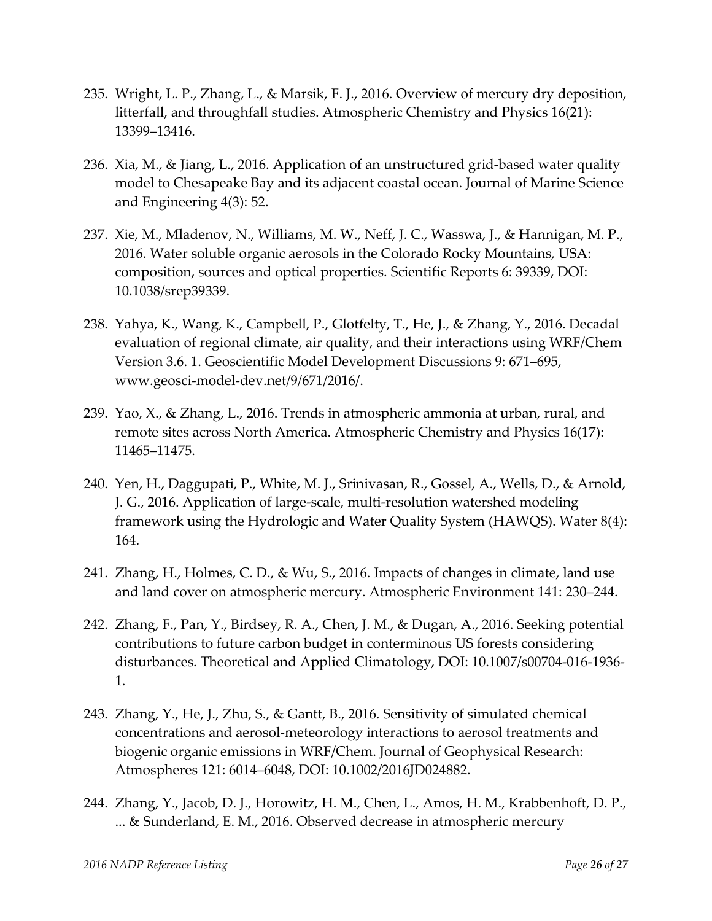- 235. Wright, L. P., Zhang, L., & Marsik, F. J., 2016. Overview of mercury dry deposition, litterfall, and throughfall studies. Atmospheric Chemistry and Physics 16(21): 13399–13416.
- 236. Xia, M., & Jiang, L., 2016. Application of an unstructured grid-based water quality model to Chesapeake Bay and its adjacent coastal ocean. Journal of Marine Science and Engineering 4(3): 52.
- 237. Xie, M., Mladenov, N., Williams, M. W., Neff, J. C., Wasswa, J., & Hannigan, M. P., 2016. Water soluble organic aerosols in the Colorado Rocky Mountains, USA: composition, sources and optical properties. Scientific Reports 6: 39339, DOI: 10.1038/srep39339.
- 238. Yahya, K., Wang, K., Campbell, P., Glotfelty, T., He, J., & Zhang, Y., 2016. Decadal evaluation of regional climate, air quality, and their interactions using WRF/Chem Version 3.6. 1. Geoscientific Model Development Discussions 9: 671–695, www.geosci-model-dev.net/9/671/2016/.
- 239. Yao, X., & Zhang, L., 2016. Trends in atmospheric ammonia at urban, rural, and remote sites across North America. Atmospheric Chemistry and Physics 16(17): 11465–11475.
- 240. Yen, H., Daggupati, P., White, M. J., Srinivasan, R., Gossel, A., Wells, D., & Arnold, J. G., 2016. Application of large-scale, multi-resolution watershed modeling framework using the Hydrologic and Water Quality System (HAWQS). Water 8(4): 164.
- 241. Zhang, H., Holmes, C. D., & Wu, S., 2016. Impacts of changes in climate, land use and land cover on atmospheric mercury. Atmospheric Environment 141: 230–244.
- 242. Zhang, F., Pan, Y., Birdsey, R. A., Chen, J. M., & Dugan, A., 2016. Seeking potential contributions to future carbon budget in conterminous US forests considering disturbances. Theoretical and Applied Climatology, DOI: 10.1007/s00704-016-1936- 1.
- 243. Zhang, Y., He, J., Zhu, S., & Gantt, B., 2016. Sensitivity of simulated chemical concentrations and aerosol-meteorology interactions to aerosol treatments and biogenic organic emissions in WRF/Chem. Journal of Geophysical Research: Atmospheres 121: 6014–6048, DOI: 10.1002/2016JD024882.
- 244. Zhang, Y., Jacob, D. J., Horowitz, H. M., Chen, L., Amos, H. M., Krabbenhoft, D. P., ... & Sunderland, E. M., 2016. Observed decrease in atmospheric mercury